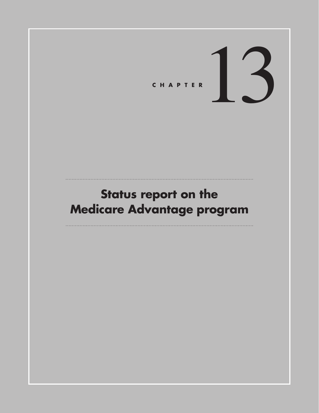# CHAPTER<sup>13</sup>

# **Status report on the Medicare Advantage program**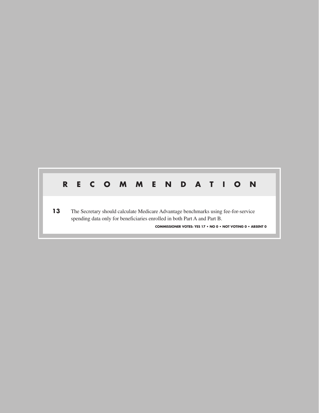#### **RECOMMENDATION**

**13** The Secretary should calculate Medicare Advantage benchmarks using fee-for-service spending data only for beneficiaries enrolled in both Part A and Part B. **COMMISSIONER VOTES: YES 17 • NO 0 • NOT VOTING 0 • ABSENT 0**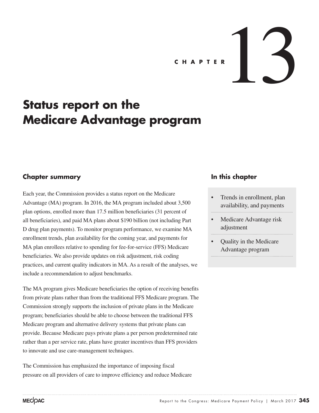# CHAPTER  $\Bigg| \Bigg|$

# **Status report on the Medicare Advantage program**

#### **Chapter summary**

Each year, the Commission provides a status report on the Medicare Advantage (MA) program. In 2016, the MA program included about 3,500 plan options, enrolled more than 17.5 million beneficiaries (31 percent of all beneficiaries), and paid MA plans about \$190 billion (not including Part D drug plan payments). To monitor program performance, we examine MA enrollment trends, plan availability for the coming year, and payments for MA plan enrollees relative to spending for fee-for-service (FFS) Medicare beneficiaries. We also provide updates on risk adjustment, risk coding practices, and current quality indicators in MA. As a result of the analyses, we include a recommendation to adjust benchmarks.

The MA program gives Medicare beneficiaries the option of receiving benefits from private plans rather than from the traditional FFS Medicare program. The Commission strongly supports the inclusion of private plans in the Medicare program; beneficiaries should be able to choose between the traditional FFS Medicare program and alternative delivery systems that private plans can provide. Because Medicare pays private plans a per person predetermined rate rather than a per service rate, plans have greater incentives than FFS providers to innovate and use care-management techniques.

The Commission has emphasized the importance of imposing fiscal pressure on all providers of care to improve efficiency and reduce Medicare

#### **In this chapter**

- Trends in enrollment, plan availability, and payments
- Medicare Advantage risk adjustment
- Quality in the Medicare Advantage program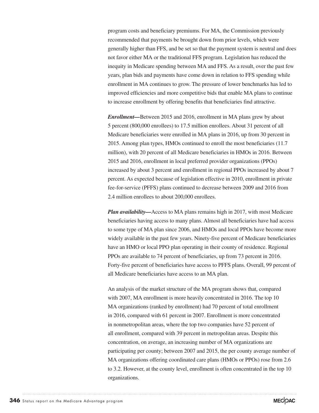program costs and beneficiary premiums. For MA, the Commission previously recommended that payments be brought down from prior levels, which were generally higher than FFS, and be set so that the payment system is neutral and does not favor either MA or the traditional FFS program. Legislation has reduced the inequity in Medicare spending between MA and FFS. As a result, over the past few years, plan bids and payments have come down in relation to FFS spending while enrollment in MA continues to grow. The pressure of lower benchmarks has led to improved efficiencies and more competitive bids that enable MA plans to continue to increase enrollment by offering benefits that beneficiaries find attractive.

*Enrollment—*Between 2015 and 2016, enrollment in MA plans grew by about 5 percent (800,000 enrollees) to 17.5 million enrollees. About 31 percent of all Medicare beneficiaries were enrolled in MA plans in 2016, up from 30 percent in 2015. Among plan types, HMOs continued to enroll the most beneficiaries (11.7 million), with 20 percent of all Medicare beneficiaries in HMOs in 2016. Between 2015 and 2016, enrollment in local preferred provider organizations (PPOs) increased by about 3 percent and enrollment in regional PPOs increased by about 7 percent. As expected because of legislation effective in 2010, enrollment in private fee-for-service (PFFS) plans continued to decrease between 2009 and 2016 from 2.4 million enrollees to about 200,000 enrollees.

*Plan availability—*Access to MA plans remains high in 2017, with most Medicare beneficiaries having access to many plans. Almost all beneficiaries have had access to some type of MA plan since 2006, and HMOs and local PPOs have become more widely available in the past few years. Ninety-five percent of Medicare beneficiaries have an HMO or local PPO plan operating in their county of residence. Regional PPOs are available to 74 percent of beneficiaries, up from 73 percent in 2016. Forty-five percent of beneficiaries have access to PFFS plans. Overall, 99 percent of all Medicare beneficiaries have access to an MA plan.

An analysis of the market structure of the MA program shows that, compared with 2007, MA enrollment is more heavily concentrated in 2016. The top 10 MA organizations (ranked by enrollment) had 70 percent of total enrollment in 2016, compared with 61 percent in 2007. Enrollment is more concentrated in nonmetropolitan areas, where the top two companies have 52 percent of all enrollment, compared with 39 percent in metropolitan areas. Despite this concentration, on average, an increasing number of MA organizations are participating per county; between 2007 and 2015, the per county average number of MA organizations offering coordinated care plans (HMOs or PPOs) rose from 2.6 to 3.2. However, at the county level, enrollment is often concentrated in the top 10 organizations.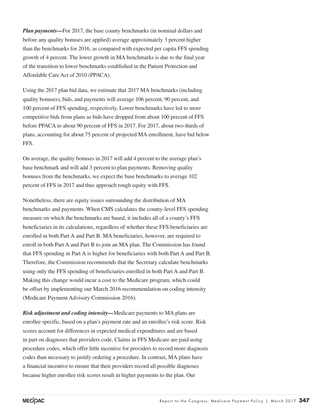*Plan payments—For 2017, the base county benchmarks (in nominal dollars and* before any quality bonuses are applied) average approximately 3 percent higher than the benchmarks for 2016, as compared with expected per capita FFS spending growth of 4 percent. The lower growth in MA benchmarks is due to the final year of the transition to lower benchmarks established in the Patient Protection and Affordable Care Act of 2010 (PPACA).

Using the 2017 plan bid data, we estimate that 2017 MA benchmarks (including quality bonuses), bids, and payments will average 106 percent, 90 percent, and 100 percent of FFS spending, respectively. Lower benchmarks have led to more competitive bids from plans as bids have dropped from about 100 percent of FFS before PPACA to about 90 percent of FFS in 2017. For 2017, about two-thirds of plans, accounting for about 75 percent of projected MA enrollment, have bid below FFS.

On average, the quality bonuses in 2017 will add 4 percent to the average plan's base benchmark and will add 3 percent to plan payments. Removing quality bonuses from the benchmarks, we expect the base benchmarks to average 102 percent of FFS in 2017 and thus approach rough equity with FFS.

Nonetheless, there are equity issues surrounding the distribution of MA benchmarks and payments. When CMS calculates the county-level FFS spending measure on which the benchmarks are based, it includes all of a county's FFS beneficiaries in its calculations, regardless of whether these FFS beneficiaries are enrolled in both Part A and Part B. MA beneficiaries, however, are required to enroll in both Part A and Part B to join an MA plan. The Commission has found that FFS spending in Part A is higher for beneficiaries with both Part A and Part B. Therefore, the Commission recommends that the Secretary calculate benchmarks using only the FFS spending of beneficiaries enrolled in both Part A and Part B. Making this change would incur a cost to the Medicare program, which could be offset by implementing our March 2016 recommendation on coding intensity (Medicare Payment Advisory Commission 2016).

*Risk adjustment and coding intensity—*Medicare payments to MA plans are enrollee specific, based on a plan's payment rate and an enrollee's risk score. Risk scores account for differences in expected medical expenditures and are based in part on diagnoses that providers code. Claims in FFS Medicare are paid using procedure codes, which offer little incentive for providers to record more diagnosis codes than necessary to justify ordering a procedure. In contrast, MA plans have a financial incentive to ensure that their providers record all possible diagnoses because higher enrollee risk scores result in higher payments to the plan. Our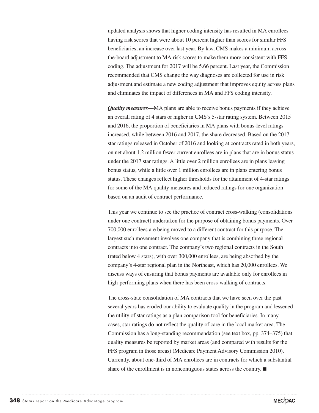updated analysis shows that higher coding intensity has resulted in MA enrollees having risk scores that were about 10 percent higher than scores for similar FFS beneficiaries, an increase over last year. By law, CMS makes a minimum acrossthe-board adjustment to MA risk scores to make them more consistent with FFS coding. The adjustment for 2017 will be 5.66 percent. Last year, the Commission recommended that CMS change the way diagnoses are collected for use in risk adjustment and estimate a new coding adjustment that improves equity across plans and eliminates the impact of differences in MA and FFS coding intensity.

*Quality measures—*MA plans are able to receive bonus payments if they achieve an overall rating of 4 stars or higher in CMS's 5-star rating system. Between 2015 and 2016, the proportion of beneficiaries in MA plans with bonus-level ratings increased, while between 2016 and 2017, the share decreased. Based on the 2017 star ratings released in October of 2016 and looking at contracts rated in both years, on net about 1.2 million fewer current enrollees are in plans that are in bonus status under the 2017 star ratings. A little over 2 million enrollees are in plans leaving bonus status, while a little over 1 million enrollees are in plans entering bonus status. These changes reflect higher thresholds for the attainment of 4-star ratings for some of the MA quality measures and reduced ratings for one organization based on an audit of contract performance.

This year we continue to see the practice of contract cross-walking (consolidations under one contract) undertaken for the purpose of obtaining bonus payments. Over 700,000 enrollees are being moved to a different contract for this purpose. The largest such movement involves one company that is combining three regional contracts into one contract. The company's two regional contracts in the South (rated below 4 stars), with over 300,000 enrollees, are being absorbed by the company's 4-star regional plan in the Northeast, which has 20,000 enrollees. We discuss ways of ensuring that bonus payments are available only for enrollees in high-performing plans when there has been cross-walking of contracts.

The cross-state consolidation of MA contracts that we have seen over the past several years has eroded our ability to evaluate quality in the program and lessened the utility of star ratings as a plan comparison tool for beneficiaries. In many cases, star ratings do not reflect the quality of care in the local market area. The Commission has a long-standing recommendation (see text box, pp. 374–375) that quality measures be reported by market areas (and compared with results for the FFS program in those areas) (Medicare Payment Advisory Commission 2010). Currently, about one-third of MA enrollees are in contracts for which a substantial share of the enrollment is in noncontiguous states across the country. ■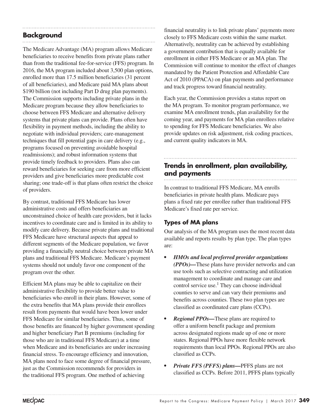# **Background**

The Medicare Advantage (MA) program allows Medicare beneficiaries to receive benefits from private plans rather than from the traditional fee-for-service (FFS) program. In 2016, the MA program included about 3,500 plan options, enrolled more than 17.5 million beneficiaries (31 percent of all beneficiaries), and Medicare paid MA plans about \$190 billion (not including Part D drug plan payments). The Commission supports including private plans in the Medicare program because they allow beneficiaries to choose between FFS Medicare and alternative delivery systems that private plans can provide. Plans often have flexibility in payment methods, including the ability to negotiate with individual providers; care-management techniques that fill potential gaps in care delivery (e.g., programs focused on preventing avoidable hospital readmissions); and robust information systems that provide timely feedback to providers. Plans also can reward beneficiaries for seeking care from more efficient providers and give beneficiaries more predictable cost sharing; one trade-off is that plans often restrict the choice of providers.

By contrast, traditional FFS Medicare has lower administrative costs and offers beneficiaries an unconstrained choice of health care providers, but it lacks incentives to coordinate care and is limited in its ability to modify care delivery. Because private plans and traditional FFS Medicare have structural aspects that appeal to different segments of the Medicare population, we favor providing a financially neutral choice between private MA plans and traditional FFS Medicare. Medicare's payment systems should not unduly favor one component of the program over the other.

Efficient MA plans may be able to capitalize on their administrative flexibility to provide better value to beneficiaries who enroll in their plans. However, some of the extra benefits that MA plans provide their enrollees result from payments that would have been lower under FFS Medicare for similar beneficiaries. Thus, some of those benefits are financed by higher government spending and higher beneficiary Part B premiums (including for those who are in traditional FFS Medicare) at a time when Medicare and its beneficiaries are under increasing financial stress. To encourage efficiency and innovation, MA plans need to face some degree of financial pressure, just as the Commission recommends for providers in the traditional FFS program. One method of achieving

financial neutrality is to link private plans' payments more closely to FFS Medicare costs within the same market. Alternatively, neutrality can be achieved by establishing a government contribution that is equally available for enrollment in either FFS Medicare or an MA plan. The Commission will continue to monitor the effect of changes mandated by the Patient Protection and Affordable Care Act of 2010 (PPACA) on plan payments and performance and track progress toward financial neutrality.

Each year, the Commission provides a status report on the MA program. To monitor program performance, we examine MA enrollment trends, plan availability for the coming year, and payments for MA plan enrollees relative to spending for FFS Medicare beneficiaries. We also provide updates on risk adjustment, risk coding practices, and current quality indicators in MA.

#### **Trends in enrollment, plan availability, and payments**

In contrast to traditional FFS Medicare, MA enrolls beneficiaries in private health plans. Medicare pays plans a fixed rate per enrollee rather than traditional FFS Medicare's fixed rate per service.

#### **Types of MA plans**

Our analysis of the MA program uses the most recent data available and reports results by plan type. The plan types are:

- *• HMOs and local preferred provider organizations (PPOs)—*These plans have provider networks and can use tools such as selective contracting and utilization management to coordinate and manage care and control service use.<sup>1</sup> They can choose individual counties to serve and can vary their premiums and benefits across counties. These two plan types are classified as coordinated care plans (CCPs).
- *Regional PPOs—* These plans are required to offer a uniform benefit package and premium across designated regions made up of one or more states. Regional PPOs have more flexible network requirements than local PPOs. Regional PPOs are also classified as CCPs.
- *• Private FFS (PFFS) plans—*PFFS plans are not classified as CCPs. Before 2011, PFFS plans typically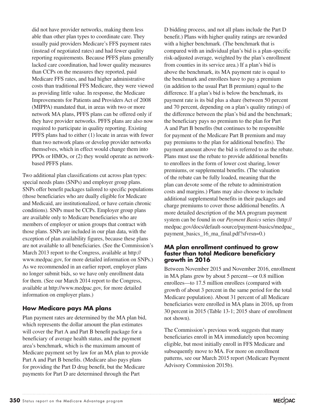did not have provider networks, making them less able than other plan types to coordinate care. They usually paid providers Medicare's FFS payment rates (instead of negotiated rates) and had fewer quality reporting requirements. Because PFFS plans generally lacked care coordination, had lower quality measures than CCPs on the measures they reported, paid Medicare FFS rates, and had higher administrative costs than traditional FFS Medicare, they were viewed as providing little value. In response, the Medicare Improvements for Patients and Providers Act of 2008 (MIPPA) mandated that, in areas with two or more network MA plans, PFFS plans can be offered only if they have provider networks. PFFS plans are also now required to participate in quality reporting. Existing PFFS plans had to either (1) locate in areas with fewer than two network plans or develop provider networks themselves, which in effect would change them into PPOs or HMOs, or (2) they would operate as networkbased PFFS plans.

Two additional plan classifications cut across plan types: special needs plans (SNPs) and employer group plans. SNPs offer benefit packages tailored to specific populations (those beneficiaries who are dually eligible for Medicare and Medicaid, are institutionalized, or have certain chronic conditions). SNPs must be CCPs. Employer group plans are available only to Medicare beneficiaries who are members of employer or union groups that contract with those plans. SNPs are included in our plan data, with the exception of plan availability figures, because these plans are not available to all beneficiaries. (See the Commission's March 2013 report to the Congress, available at http:// www.medpac.gov, for more detailed information on SNPs.) As we recommended in an earlier report, employer plans no longer submit bids, so we have only enrollment data for them. (See our March 2014 report to the Congress, available at http://www.medpac.gov, for more detailed information on employer plans.)

#### **How Medicare pays MA plans**

Plan payment rates are determined by the MA plan bid, which represents the dollar amount the plan estimates will cover the Part A and Part B benefit package for a beneficiary of average health status, and the payment area's benchmark, which is the maximum amount of Medicare payment set by law for an MA plan to provide Part A and Part B benefits. (Medicare also pays plans for providing the Part D drug benefit, but the Medicare payments for Part D are determined through the Part

D bidding process, and not all plans include the Part D benefit.) Plans with higher quality ratings are rewarded with a higher benchmark. (The benchmark that is compared with an individual plan's bid is a plan-specific risk-adjusted average, weighted by the plan's enrollment from counties in its service area.) If a plan's bid is above the benchmark, its MA payment rate is equal to the benchmark and enrollees have to pay a premium (in addition to the usual Part B premium) equal to the difference. If a plan's bid is below the benchmark, its payment rate is its bid plus a share (between 50 percent and 70 percent, depending on a plan's quality ratings) of the difference between the plan's bid and the benchmark; the beneficiary pays no premium to the plan for Part A and Part B benefits (but continues to be responsible for payment of the Medicare Part B premium and may pay premiums to the plan for additional benefits). The payment amount above the bid is referred to as the rebate. Plans must use the rebate to provide additional benefits to enrollees in the form of lower cost sharing, lower premiums, or supplemental benefits. (The valuation of the rebate can be fully loaded, meaning that the plan can devote some of the rebate to administration costs and margins.) Plans may also choose to include additional supplemental benefits in their packages and charge premiums to cover those additional benefits. A more detailed description of the MA program payment system can be found in our *Payment Basics* series (http:// medpac.gov/docs/default-source/payment-basics/medpac\_ payment\_basics\_16\_ma\_final.pdf?sfvrsn=0.)

#### **MA plan enrollment continued to grow faster than total Medicare beneficiary growth in 2016**

Between November 2015 and November 2016, enrollment in MA plans grew by about 5 percent—or 0.8 million enrollees—to 17.5 million enrollees (compared with growth of about 3 percent in the same period for the total Medicare population). About 31 percent of all Medicare beneficiaries were enrolled in MA plans in 2016, up from 30 percent in 2015 (Table 13-1; 2015 share of enrollment not shown).

The Commission's previous work suggests that many beneficiaries enroll in MA immediately upon becoming eligible, but most initially enroll in FFS Medicare and subsequently move to MA. For more on enrollment patterns, see our March 2015 report (Medicare Payment Advisory Commission 2015b).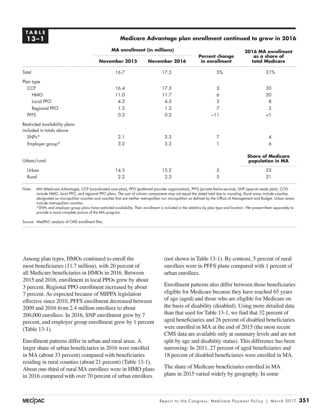#### **13–1 Medicare Advantage plan enrollment continued to grow in 2016**

|                                                           | <b>MA</b> enrollment (in millions) |               |                                        | 2016 MA enrollment                           |  |
|-----------------------------------------------------------|------------------------------------|---------------|----------------------------------------|----------------------------------------------|--|
|                                                           | November 2015                      | November 2016 | <b>Percent change</b><br>in enrollment | as a share of<br>total Medicare              |  |
| Total                                                     | 16.7                               | 17.5          | 5%                                     | 31%                                          |  |
| Plan type                                                 |                                    |               |                                        |                                              |  |
| <b>CCP</b>                                                | 16.4                               | 17.3          | 5                                      | 30                                           |  |
| <b>HMO</b>                                                | 11.0                               | 11.7          | 6                                      | 20                                           |  |
| Local PPO                                                 | 4.2                                | 4.3           | 3                                      | 8                                            |  |
| Regional PPO                                              | 1.3                                | 1.3           | 7                                      | $\overline{2}$                               |  |
| <b>PFFS</b>                                               | 0.3                                | 0.2           | $-11$                                  | $\leq$                                       |  |
| Restricted availability plans<br>included in totals above |                                    |               |                                        |                                              |  |
| SNPs*                                                     | 2.1                                | 2.3           | 7                                      | 4                                            |  |
| Employer group*                                           | 3.2                                | 3.2           |                                        | 6                                            |  |
| Urban/rural                                               |                                    |               |                                        | <b>Share of Medicare</b><br>population in MA |  |
| Urban                                                     | 14.5                               | 15.2          | 5                                      | 33                                           |  |
| Rural                                                     | 2.2                                | 2.3           | 5                                      | 21                                           |  |

Note: MA (Medicare Advantage), CCP (coordinated care plan), PPO (preferred provider organization), PFFS (private fee-for-service), SNP (special needs plan). CCPs include HMO, local PPO, and regional PPO plans. The sum of column components may not equal the stated total due to rounding. Rural areas include counties designated as micropolitan counties and counties that are neither metropolitan nor micropolitan as defined by the Office of Management and Budget. Urban areas include metropolitan counties.

\*SNPs and employer group plans have restricted availability. Their enrollment is included in the statistics by plan type and location. We present them separately to provide a more complete picture of the MA program.

Source: MedPAC analysis of CMS enrollment files.

Among plan types, HMOs continued to enroll the most beneficiaries (11.7 million), with 20 percent of all Medicare beneficiaries in HMOs in 2016. Between 2015 and 2016, enrollment in local PPOs grew by about 3 percent. Regional PPO enrollment increased by about 7 percent. As expected because of MIPPA legislation effective since 2010, PFFS enrollment decreased between 2009 and 2016 from 2.4 million enrollees to about 200,000 enrollees. In 2016, SNP enrollment grew by 7 percent, and employer group enrollment grew by 1 percent (Table 13-1).

Enrollment patterns differ in urban and rural areas. A larger share of urban beneficiaries in 2016 were enrolled in MA (about 33 percent) compared with beneficiaries residing in rural counties (about 21 percent) (Table 13-1). About one-third of rural MA enrollees were in HMO plans in 2016 compared with over 70 percent of urban enrollees

(not shown in Table 13-1). By contrast, 5 percent of rural enrollees were in PFFS plans compared with 1 percent of urban enrollees.

Enrollment patterns also differ between those beneficiaries eligible for Medicare because they have reached 65 years of age (aged) and those who are eligible for Medicare on the basis of disability (disabled). Using more detailed data than that used for Table 13-1, we find that 32 percent of aged beneficiaries and 26 percent of disabled beneficiaries were enrolled in MA at the end of 2015 (the most recent CMS data are available only at summary levels and are not split by age and disability status). This difference has been narrowing: In 2011, 27 percent of aged beneficiaries and 18 percent of disabled beneficiaries were enrolled in MA.

The share of Medicare beneficiaries enrolled in MA plans in 2015 varied widely by geography. In some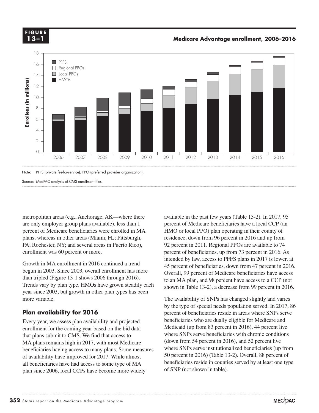**X-X 13–1FIGURE**

**Medicare Advantage enrollment, 2006–2016 CURE**.



metropolitan areas (e.g., Anchorage, AK—where there are only employer group plans available), less than 1 percent of Medicare beneficiaries were enrolled in MA plans, whereas in other areas (Miami, FL; Pittsburgh, PA; Rochester, NY; and several areas in Puerto Rico), enrollment was 60 percent or more.

Growth in MA enrollment in 2016 continued a trend begun in 2003. Since 2003, overall enrollment has more than tripled (Figure 13-1 shows 2006 through 2016). Trends vary by plan type. HMOs have grown steadily each year since 2003, but growth in other plan types has been more variable.

#### **Plan availability for 2016**

Every year, we assess plan availability and projected enrollment for the coming year based on the bid data that plans submit to CMS. We find that access to MA plans remains high in 2017, with most Medicare beneficiaries having access to many plans. Some measures of availability have improved for 2017. While almost all beneficiaries have had access to some type of MA plan since 2006, local CCPs have become more widely

available in the past few years (Table 13-2). In 2017, 95 percent of Medicare beneficiaries have a local CCP (an HMO or local PPO) plan operating in their county of residence, down from 96 percent in 2016 and up from 92 percent in 2011. Regional PPOs are available to 74 percent of beneficiaries, up from 73 percent in 2016. As intended by law, access to PFFS plans in 2017 is lower, at 45 percent of beneficiaries, down from 47 percent in 2016. Overall, 99 percent of Medicare beneficiaries have access to an MA plan, and 98 percent have access to a CCP (not shown in Table 13-2), a decrease from 99 percent in 2016.

The availability of SNPs has changed slightly and varies by the type of special needs population served. In 2017, 86 percent of beneficiaries reside in areas where SNPs serve beneficiaries who are dually eligible for Medicare and Medicaid (up from 83 percent in 2016), 44 percent live where SNPs serve beneficiaries with chronic conditions (down from 54 percent in 2016), and 52 percent live where SNPs serve institutionalized beneficiaries (up from 50 percent in 2016) (Table 13-2). Overall, 88 percent of beneficiaries reside in counties served by at least one type of SNP (not shown in table).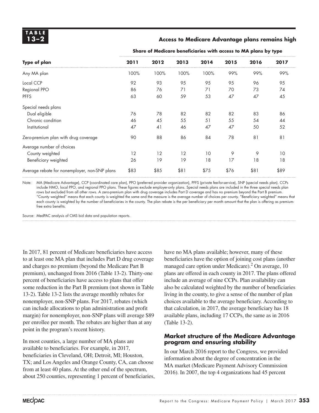#### **13–2 Access to Medicare Advantage plans remains high Access to Medicare Advantage plans remains high**

| Type of plan                                  | 2011 | 2012 | 2013 | 2014 | 2015 | 2016 | 2017 |  |  |
|-----------------------------------------------|------|------|------|------|------|------|------|--|--|
| Any MA plan                                   | 100% | 100% | 100% | 100% | 99%  | 99%  | 99%  |  |  |
| Local CCP                                     | 92   | 93   | 95   | 95   | 95   | 96   | 95   |  |  |
| <b>Regional PPO</b>                           | 86   | 76   | 71   | 71   | 70   | 73   | 74   |  |  |
| <b>PFFS</b>                                   | 63   | 60   | 59   | 53   | 47   | 47   | 45   |  |  |
| Special needs plans                           |      |      |      |      |      |      |      |  |  |
| Dual eligible                                 | 76   | 78   | 82   | 82   | 82   | 83   | 86   |  |  |
| Chronic condition                             | 46   | 45   | 55   | 51   | 55   | 54   | 44   |  |  |
| Institutional                                 | 47   | 41   | 46   | 47   | 47   | 50   | 52   |  |  |
| Zero-premium plan with drug coverage          | 90   | 88   | 86   | 84   | 78   | 81   | 81   |  |  |
| Average number of choices                     |      |      |      |      |      |      |      |  |  |
| County weighted                               | 12   | 12   | 12   | 10   | 9    | 9    | 10   |  |  |
| Beneficiary weighted                          | 26   | 19   | 19   | 18   | 17   | 18   | 18   |  |  |
| Average rebate for nonemployer, non-SNP plans | \$83 | \$85 | \$81 | \$75 | \$76 | \$81 | \$89 |  |  |

**Share of Medicare beneficiaries with access to MA plans by type**

Note: MA (Medicare Advantage), CCP (coordinated care plan), PPO (preferred provider organization), PFFS (private fee-for-service), SNP (special needs plan). CCPs include HMO, local PPO, and regional PPO plans. These figures exclude employer-only plans. Special needs plans are included in the three special needs plan rows but excluded from all other rows. A zero-premium plan with drug coverage includes Part D coverage and has no premium beyond the Part B premium. "County weighted" means that each county is weighted the same and the measure is the average number of choices per county. "Beneficiary weighted" means that each county is weighted by the number of beneficiaries in the county. The plan rebate is the per beneficiary per month amount that the plan is offering as premiumfree extra benefits.

Source: MedPAC analysis of CMS bid data and population reports.

In 2017, 81 percent of Medicare beneficiaries have access to at least one MA plan that includes Part D drug coverage and charges no premium (beyond the Medicare Part B premium), unchanged from 2016 (Table 13-2). Thirty-one percent of beneficiaries have access to plans that offer some reduction in the Part B premium (not shown in Table 13-2). Table 13-2 lists the average monthly rebates for nonemployer, non-SNP plans. For 2017, rebates (which can include allocations to plan administration and profit margin) for nonemployer, non-SNP plans will average \$89 per enrollee per month. The rebates are higher than at any point in the program's recent history.

In most counties, a large number of MA plans are available to beneficiaries. For example, in 2017, beneficiaries in Cleveland, OH; Detroit, MI; Houston, TX; and Los Angeles and Orange County, CA, can choose from at least 40 plans. At the other end of the spectrum, about 250 counties, representing 1 percent of beneficiaries, have no MA plans available; however, many of these beneficiaries have the option of joining cost plans (another managed care option under Medicare).<sup>2</sup> On average, 10 plans are offered in each county in 2017. The plans offered include an average of nine CCPs. Plan availability can also be calculated weighted by the number of beneficiaries living in the county, to give a sense of the number of plan choices available to the average beneficiary. According to that calculation, in 2017, the average beneficiary has 18 available plans, including 17 CCPs, the same as in 2016 (Table 13-2).

#### **Market structure of the Medicare Advantage program and ensuring stability**

In our March 2016 report to the Congress, we provided information about the degree of concentration in the MA market (Medicare Payment Advisory Commission 2016). In 2007, the top 4 organizations had 45 percent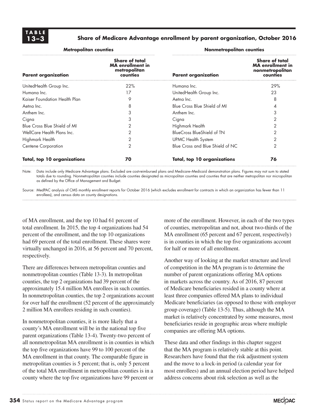#### **13–3 Share of Medicare Advantage enrollment by parent organization, October 2016**

| <b>Metropolitan counties</b>  |                                                                       | Nonmetropolitan counties           |                                                                                 |  |
|-------------------------------|-----------------------------------------------------------------------|------------------------------------|---------------------------------------------------------------------------------|--|
| <b>Parent organization</b>    | Share of total<br><b>MA</b> enrollment in<br>metropolitan<br>counties | <b>Parent organization</b>         | <b>Share of total</b><br><b>MA</b> enrollment in<br>nonmetropolitan<br>counties |  |
| UnitedHealth Group Inc.       | 22%                                                                   | Humana Inc.                        | 29%                                                                             |  |
| Humana Inc.                   | 17                                                                    | UnitedHealth Group Inc.            | 23                                                                              |  |
| Kaiser Foundation Health Plan | 9                                                                     | Aetna Inc.                         | 8                                                                               |  |
| Aetna Inc.                    | 8                                                                     | Blue Cross Blue Shield of MI       | 4                                                                               |  |
| Anthem Inc.                   | 3                                                                     | Anthem Inc.                        | 3                                                                               |  |
| Cigna                         | 3                                                                     | Cigna                              | 2                                                                               |  |
| Blue Cross Blue Shield of MI  |                                                                       | Highmark Health                    | 2                                                                               |  |
| WellCare Health Plans Inc.    | 2                                                                     | BlueCross BlueShield of TN         | 2                                                                               |  |
| Highmark Health               | 2                                                                     | <b>UPMC Health System</b>          | 2                                                                               |  |
| <b>Centene Corporation</b>    | $\overline{2}$                                                        | Blue Cross and Blue Shield of NC   | $\mathcal{P}$                                                                   |  |
| Total, top 10 organizations   | 70                                                                    | <b>Total, top 10 organizations</b> | 76                                                                              |  |

Note: Data include only Medicare Advantage plans. Excluded are cost-reimbursed plans and Medicare–Medicaid demonstration plans. Figures may not sum to stated totals due to rounding. Nonmetropolitan counties include counties designated as micropolitan counties and counties that are neither metropolitan nor micropolitan as defined by the Office of Management and Budget.

Source: MedPAC analysis of CMS monthly enrollment reports for October 2016 (which excludes enrollment for contracts in which an organization has fewer than 11 enrollees), and census data on county designations.

of MA enrollment, and the top 10 had 61 percent of total enrollment. In 2015, the top 4 organizations had 54 percent of the enrollment, and the top 10 organizations had 69 percent of the total enrollment. These shares were virtually unchanged in 2016, at 56 percent and 70 percent, respectively.

There are differences between metropolitan counties and nonmetropolitan counties (Table 13-3). In metropolitan counties, the top 2 organizations had 39 percent of the approximately 15.4 million MA enrollees in such counties. In nonmetropolitan counties, the top 2 organizations account for over half the enrollment (52 percent of the approximately 2 million MA enrollees residing in such counties).

In nonmetropolitan counties, it is more likely that a county's MA enrollment will be in the national top five parent organizations (Table 13-4). Twenty-two percent of all nonmetropolitan MA enrollment is in counties in which the top five organizations have 99 to 100 percent of the MA enrollment in that county. The comparable figure in metropolitan counties is 5 percent; that is, only 5 percent of the total MA enrollment in metropolitan counties is in a county where the top five organizations have 99 percent or

more of the enrollment. However, in each of the two types of counties, metropolitan and not, about two-thirds of the MA enrollment (65 percent and 67 percent, respectively) is in counties in which the top five organizations account for half or more of all enrollment.

Another way of looking at the market structure and level of competition in the MA program is to determine the number of parent organizations offering MA options in markets across the country. As of 2016, 87 percent of Medicare beneficiaries resided in a county where at least three companies offered MA plans to individual Medicare beneficiaries (as opposed to those with employer group coverage) (Table 13-5). Thus, although the MA market is relatively concentrated by some measures, most beneficiaries reside in geographic areas where multiple companies are offering MA options.

These data and other findings in this chapter suggest that the MA program is relatively stable at this point. Researchers have found that the risk adjustment system and the move to a lock-in period (a calendar year for most enrollees) and an annual election period have helped address concerns about risk selection as well as the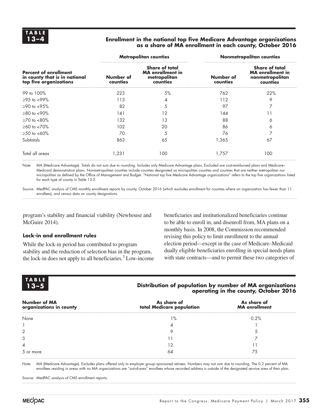#### **13–4 Enrollment in the national top five Medicare Advantage organizations as a share of MA enrollment in each county, October 2016**

|                                                                                         |                       | <b>Metropolitan counties</b>                                                 | <b>Nonmetropolitan counties</b> |                                                                                 |  |
|-----------------------------------------------------------------------------------------|-----------------------|------------------------------------------------------------------------------|---------------------------------|---------------------------------------------------------------------------------|--|
| <b>Percent of enrollment</b><br>in county that is in national<br>top five organizations | Number of<br>counties | <b>Share of total</b><br><b>MA</b> enrollment in<br>metropolitan<br>counties | Number of<br>counties           | <b>Share of total</b><br><b>MA</b> enrollment in<br>nonmetropolitan<br>counties |  |
| 99 to 100%                                                                              | 223                   | 5%                                                                           | 762                             | 22%                                                                             |  |
| $>95$ to $<99\%$                                                                        | 113                   |                                                                              | 112                             | 9                                                                               |  |
| $>90$ to $< 95\%$                                                                       | 82                    | 5                                                                            | 97                              |                                                                                 |  |
| $>80$ to $< 90\%$                                                                       | 141                   | 12                                                                           | 144                             |                                                                                 |  |
| $\geq 70$ to $\lt 80\%$                                                                 | 132                   | 13                                                                           | 88                              | 6                                                                               |  |
| $\geq 60$ to $\lt 70\%$                                                                 | 102                   | 20                                                                           | 86                              | 6                                                                               |  |
| $>50$ to $<60\%$                                                                        | 70                    | 5                                                                            | 76                              |                                                                                 |  |
| Subtotals                                                                               | 863                   | 65                                                                           | 1,365                           | 67                                                                              |  |
| Total all areas                                                                         | 1,231                 | 100                                                                          | 1.757                           | 100                                                                             |  |

Note: MA (Medicare Advantage). Totals do not sum due to rounding. Includes only Medicare Advantage plans. Excluded are cost-reimbursed plans and Medicare– Medicaid demonstration plans. Nonmetropolitan counties include counties designated as micropolitan counties and counties that are neither metropolitan nor micropolitan as defined by the Office of Management and Budget. "National top five Medicare Advantage organizations" refers to the top five organizations listed for each type of county in Table 13-3.

Source: MedPAC analysis of CMS monthly enrollment reports by county, October 2016 (which excludes enrollment for counties where an organization has fewer than 11 enrollees), and census data on county designations.

program's stability and financial viability (Newhouse and McGuire 2014).

#### **Lock-in and enrollment rules**

While the lock-in period has contributed to program stability and the reduction of selection bias in the program, the lock-in does not apply to all beneficiaries.<sup>3</sup> Low-income

beneficiaries and institutionalized beneficiaries continue to be able to enroll in, and disenroll from, MA plans on a monthly basis. In 2008, the Commission recommended revising this policy to limit enrollment to the annual election period—except in the case of Medicare–Medicaid dually eligible beneficiaries enrolling in special needs plans with state contracts—and to permit these two categories of

| <b>TABLE</b> | Distribution of population by number of MA organizations |
|--------------|----------------------------------------------------------|
| 13–5         | operating in the county, October 2016                    |
|              |                                                          |

| <b>Number of MA</b><br>organizations in county | As share of<br>total Medicare population | As share of<br><b>MA</b> enrollment |
|------------------------------------------------|------------------------------------------|-------------------------------------|
| None                                           | $1\%$                                    | 0.2%                                |
|                                                |                                          |                                     |
| 2                                              |                                          |                                     |
| 3                                              |                                          |                                     |
| 4                                              |                                          |                                     |
| 5 or more                                      | 64                                       | 75                                  |

Note: MA (Medicare Advantage). Excludes plans offered only to employer group–sponsored retirees. Numbers may not sum due to rounding. The 0.2 percent of MA enrollees residing in areas with no MA organizations are "out-of-area" enrollees whose recorded address is outside of the designated service area of their plan.

Source: MedPAC analysis of CMS enrollment reports.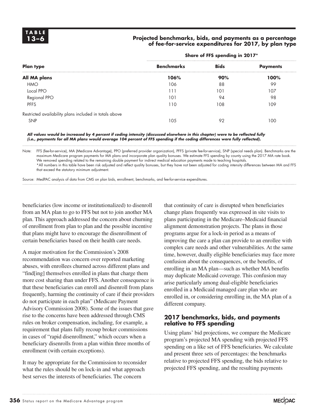#### **13–6 Projected benchmarks, bids, and payments as a percentage of fee-for-service expenditures for 2017, by plan type**

|                                                        | Share of FFS spending in 2017* |             |                 |  |  |  |
|--------------------------------------------------------|--------------------------------|-------------|-----------------|--|--|--|
| <b>Plan type</b>                                       | <b>Benchmarks</b>              | <b>Bids</b> | <b>Payments</b> |  |  |  |
| All MA plans                                           | 106%                           | 90%         | 100%            |  |  |  |
| <b>HMO</b>                                             | 106                            | 88          | 99              |  |  |  |
| Local PPO                                              | 111                            | 101         | 107             |  |  |  |
| Regional PPO                                           | 101                            | 94          | 98              |  |  |  |
| <b>PFFS</b>                                            | 110                            | 108         | 109             |  |  |  |
| Restricted availability plans included in totals above |                                |             |                 |  |  |  |
| <b>SNP</b>                                             | 105                            | 92          | 100             |  |  |  |

*All values would be increased by 4 percent if coding intensity (discussed elsewhere in this chapter) were to be reflected fully (i.e., payments for all MA plans would average 104 percent of FFS spending if the coding differences were fully reflected).* 

Note: FFS (fee-for-service), MA (Medicare Advantage), PPO (preferred provider organization), PFFS (private fee-for-service), SNP (special needs plan). Benchmarks are the maximum Medicare program payments for MA plans and incorporate plan quality bonuses. We estimate FFS spending by county using the 2017 MA rate book. We removed spending related to the remaining double payment for indirect medical education payments made to teaching hospitals.

\*All numbers in this table have been risk adjusted and reflect quality bonuses, but they have not been adjusted for coding intensity differences between MA and FFS that exceed the statutory minimum adjustment.

Source: MedPAC analysis of data from CMS on plan bids, enrollment, benchmarks, and fee-for-service expenditures.

beneficiaries (low income or institutionalized) to disenroll from an MA plan to go to FFS but not to join another MA plan. This approach addressed the concern about churning of enrollment from plan to plan and the possible incentive that plans might have to encourage the disenrollment of certain beneficiaries based on their health care needs.

A major motivation for the Commission's 2008 recommendation was concern over reported marketing abuses, with enrollees churned across different plans and "find[ing] themselves enrolled in plans that charge them more cost sharing than under FFS. Another consequence is that these beneficiaries can enroll and disenroll from plans frequently, harming the continuity of care if their providers do not participate in each plan" (Medicare Payment Advisory Commission 2008). Some of the issues that gave rise to the concerns have been addressed through CMS rules on broker compensation, including, for example, a requirement that plans fully recoup broker commissions in cases of "rapid disenrollment," which occurs when a beneficiary disenrolls from a plan within three months of enrollment (with certain exceptions).

It may be appropriate for the Commission to reconsider what the rules should be on lock-in and what approach best serves the interests of beneficiaries. The concern

that continuity of care is disrupted when beneficiaries change plans frequently was expressed in site visits to plans participating in the Medicare–Medicaid financial alignment demonstration projects. The plans in those programs argue for a lock-in period as a means of improving the care a plan can provide to an enrollee with complex care needs and other vulnerabilities. At the same time, however, dually eligible beneficiaries may face more confusion about the consequences, or the benefits, of enrolling in an MA plan—such as whether MA benefits may duplicate Medicaid coverage. This confusion may arise particularly among dual-eligible beneficiaries enrolled in a Medicaid managed care plan who are enrolled in, or considering enrolling in, the MA plan of a different company.

#### **2017 benchmarks, bids, and payments relative to FFS spending**

Using plans' bid projections, we compare the Medicare program's projected MA spending with projected FFS spending on a like set of FFS beneficiaries. We calculate and present three sets of percentages: the benchmarks relative to projected FFS spending, the bids relative to projected FFS spending, and the resulting payments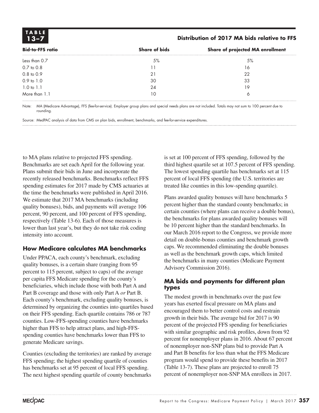**TABLE**

#### **13–7 Distribution of 2017 MA bids relative to FFS**

| <b>Bid-to-FFS ratio</b> | <b>Share of bids</b> | Share of projected MA enrollment |
|-------------------------|----------------------|----------------------------------|
| Less than 0.7           | 5%                   | 5%                               |
| $0.7$ to $0.8$          |                      | 16                               |
| 0.8 to 0.9              | 21                   | 22                               |
| 0.9 to 1.0              | 30                   | 33                               |
| 1.0 to 1.1              | 24                   | 19                               |
| More than 1.1           |                      |                                  |

Note: MA (Medicare Advantage), FFS (fee-for-service). Employer group plans and special needs plans are not included. Totals may not sum to 100 percent due to rounding.

Source: MedPAC analysis of data from CMS on plan bids, enrollment, benchmarks, and fee-for-service expenditures.

to MA plans relative to projected FFS spending. Benchmarks are set each April for the following year. Plans submit their bids in June and incorporate the recently released benchmarks. Benchmarks reflect FFS spending estimates for 2017 made by CMS actuaries at the time the benchmarks were published in April 2016. We estimate that 2017 MA benchmarks (including quality bonuses), bids, and payments will average 106 percent, 90 percent, and 100 percent of FFS spending, respectively (Table 13-6). Each of those measures is lower than last year's, but they do not take risk coding intensity into account.

#### **How Medicare calculates MA benchmarks**

Under PPACA, each county's benchmark, excluding quality bonuses, is a certain share (ranging from 95 percent to 115 percent, subject to caps) of the average per capita FFS Medicare spending for the county's beneficiaries, which include those with both Part A and Part B coverage and those with only Part A *or* Part B. Each county's benchmark, excluding quality bonuses, is determined by organizing the counties into quartiles based on their FFS spending. Each quartile contains 786 or 787 counties. Low-FFS-spending counties have benchmarks higher than FFS to help attract plans, and high-FFSspending counties have benchmarks lower than FFS to generate Medicare savings.

Counties (excluding the territories) are ranked by average FFS spending; the highest spending quartile of counties has benchmarks set at 95 percent of local FFS spending. The next highest spending quartile of county benchmarks is set at 100 percent of FFS spending, followed by the third highest quartile set at 107.5 percent of FFS spending. The lowest spending quartile has benchmarks set at 115 percent of local FFS spending (the U.S. territories are treated like counties in this low-spending quartile).

Plans awarded quality bonuses will have benchmarks 5 percent higher than the standard county benchmarks; in certain counties (where plans can receive a double bonus), the benchmarks for plans awarded quality bonuses will be 10 percent higher than the standard benchmarks. In our March 2016 report to the Congress, we provide more detail on double-bonus counties and benchmark growth caps. We recommended eliminating the double bonuses as well as the benchmark growth caps, which limited the benchmarks in many counties (Medicare Payment Advisory Commission 2016).

#### **MA bids and payments for different plan types**

The modest growth in benchmarks over the past few years has exerted fiscal pressure on MA plans and encouraged them to better control costs and restrain growth in their bids. The average bid for 2017 is 90 percent of the projected FFS spending for beneficiaries with similar geographic and risk profiles, down from 92 percent for nonemployer plans in 2016. About 67 percent of nonemployer non-SNP plans bid to provide Part A and Part B benefits for less than what the FFS Medicare program would spend to provide these benefits in 2017 (Table 13-7). These plans are projected to enroll 75 percent of nonemployer non-SNP MA enrollees in 2017.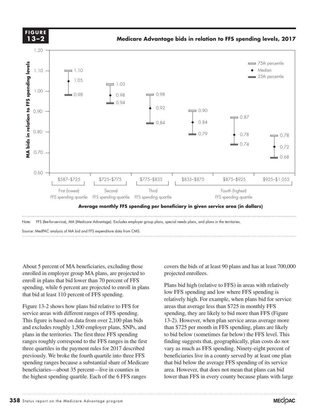

About 5 percent of MA beneficiaries, excluding those About 5 percent of MA beneficiants, excluding those<br>enrolled in employer group MA plans, are projected to enroll in plans that bid lower than 70 percent of FFS spending, while 6 percent are projected to enroll in plans Plans bld mgn (relation of that bid at least 110 percent of FFS spending. at feast 110 percent of 110 spending.

Figure 13-2 shows how plans bid relative to FFS for service areas with different ranges of FFS spending. This figure is based on data from over 2,100 plan bids  $\frac{13-2}{2}$ . However, when and excludes roughly 1,500 employer plans, SNPs, and plans in the territories. The first three FFS spending ranges roughly correspond to the FFS ranges in the first findin<br>these successive in the geometric styles for 2017 described three quartiles in the payment rules for 2017 described previously. We broke the fourth quartile into three FFS spending ranges because a substantial share of Medicare beneficiaries—about 35 percent—live in counties in the highest spending quartile. Each of the 6 FFS ranges

covers the bids of at least 90 plans and has at least 700,000 projected enrollees.

Plans bid high (relative to FFS) in areas with relatively low FFS spending and low where FFS spending is relatively high. For example, when plans bid for service  $3-2$  shows how plans bid relative to FFS for areas that average less than \$725 in monthly FFS spending, they are likely to bid more than FFS (Figure 13-2). However, when plan service areas average more ludes roughly 1,500 employer plans, SNPs, and than \$725 per month in FFS spending, plans are likely to bid below (sometimes far below) the FFS level. This finding suggests that, geographically, plan costs do not vary as much as FFS spending. Ninety-eight percent of beneficiaries live in a county served by at least one plan that bid below the average FFS spending of its service area. However, that does not mean that plans can bid lower than FFS in every county because plans with large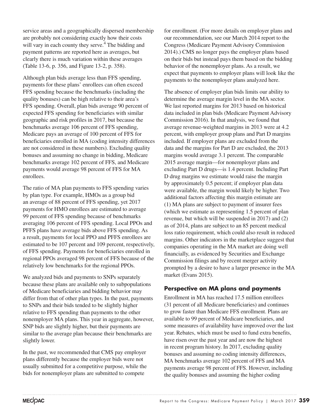service areas and a geographically dispersed membership are probably not considering exactly how their costs will vary in each county they serve.<sup>4</sup> The bidding and payment patterns are reported here as averages, but clearly there is much variation within these averages (Table 13-6, p. 356, and Figure 13-2, p. 358).

Although plan bids average less than FFS spending, payments for these plans' enrollees can often exceed FFS spending because the benchmarks (including the quality bonuses) can be high relative to their area's FFS spending. Overall, plan bids average 90 percent of expected FFS spending for beneficiaries with similar geographic and risk profiles in 2017, but because the benchmarks average 106 percent of FFS spending, Medicare pays an average of 100 percent of FFS for beneficiaries enrolled in MA (coding intensity differences are not considered in these numbers). Excluding quality bonuses and assuming no change in bidding, Medicare benchmarks average 102 percent of FFS, and Medicare payments would average 98 percent of FFS for MA enrollees.

The ratio of MA plan payments to FFS spending varies by plan type. For example, HMOs as a group bid an average of 88 percent of FFS spending, yet 2017 payments for HMO enrollees are estimated to average 99 percent of FFS spending because of benchmarks averaging 106 percent of FFS spending. Local PPOs and PFFS plans have average bids above FFS spending. As a result, payments for local PPO and PFFS enrollees are estimated to be 107 percent and 109 percent, respectively, of FFS spending. Payments for beneficiaries enrolled in regional PPOs averaged 98 percent of FFS because of the relatively low benchmarks for the regional PPOs.

We analyzed bids and payments to SNPs separately because these plans are available only to subpopulations of Medicare beneficiaries and bidding behavior may differ from that of other plan types. In the past, payments to SNPs and their bids tended to be slightly higher relative to FFS spending than payments to the other nonemployer MA plans. This year in aggregate, however, SNP bids are slightly higher, but their payments are similar to the average plan because their benchmarks are slightly lower.

In the past, we recommended that CMS pay employer plans differently because the employer bids were not usually submitted for a competitive purpose, while the bids for nonemployer plans are submitted to compete

for enrollment. (For more details on employer plans and our recommendation, see our March 2014 report to the Congress (Medicare Payment Advisory Commission 2014).) CMS no longer pays the employer plans based on their bids but instead pays them based on the bidding behavior of the nonemployer plans. As a result, we expect that payments to employer plans will look like the payments to the nonemployer plans analyzed here.

The absence of employer plan bids limits our ability to determine the average margin level in the MA sector. We last reported margins for 2013 based on historical data included in plan bids (Medicare Payment Advisory Commission 2016). In that analysis, we found that average revenue-weighted margins in 2013 were at 4.2 percent, with employer group plans and Part D margins included. If employer plans are excluded from the data and the margins for Part D are excluded, the 2013 margins would average 3.1 percent. The comparable 2015 average margin—for nonemployer plans and excluding Part D drugs—is 1.4 percent. Including Part D drug margins we estimate would raise the margin by approximately 0.5 percent; if employer plan data were available, the margin would likely be higher. Two additional factors affecting this margin estimate are (1) MA plans are subject to payment of insurer fees (which we estimate as representing 1.5 percent of plan revenue, but which will be suspended in 2017) and (2) as of 2014, plans are subject to an 85 percent medical loss ratio requirement, which could also result in reduced margins. Other indicators in the marketplace suggest that companies operating in the MA market are doing well financially, as evidenced by Securities and Exchange Commission filings and by recent merger activity prompted by a desire to have a larger presence in the MA market (Evans 2015).

#### **Perspective on MA plans and payments**

Enrollment in MA has reached 17.5 million enrollees (31 percent of all Medicare beneficiaries) and continues to grow faster than Medicare FFS enrollment. Plans are available to 99 percent of Medicare beneficiaries, and some measures of availability have improved over the last year. Rebates, which must be used to fund extra benefits, have risen over the past year and are now the highest in recent program history. In 2017, excluding quality bonuses and assuming no coding intensity differences, MA benchmarks average 102 percent of FFS and MA payments average 98 percent of FFS. However, including the quality bonuses and assuming the higher coding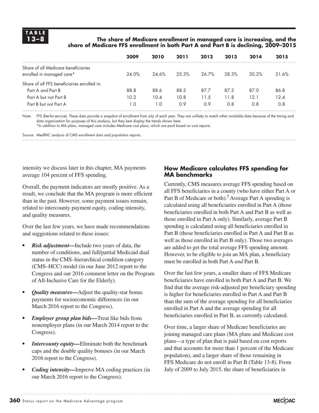#### **13–8 The share of Medicare enrollment in managed care is increasing, and the share of Medicare FFS enrollment in both Part A and Part B is declining, 2009–2015**

|                                                                  | 2009  | 2010  | 2011  | 2012  | 2013  | 2014     | 2015  |
|------------------------------------------------------------------|-------|-------|-------|-------|-------|----------|-------|
| Share of all Medicare beneficiaries<br>enrolled in managed care* | 24.0% | 24.6% | 25.3% | 26.7% | 28.3% | $30.2\%$ | 31.6% |
| Share of all FFS beneficiaries enrolled in:                      |       |       |       |       |       |          |       |
| Part A and Part B                                                | 88.8  | 88.6  | 88.3  | 87.7  | 87.3  | 87.0     | 86.8  |
| Part A but not Part B                                            | 10.2  | 10.4  | 10.8  | 11.5  | 11.8  | 12.1     | 12.4  |
| Part B but not Part A                                            | ∣.0   | l .O  | 0.9   | 0.9   | 0.8   | 0.8      | 0.8   |

Note: FFS (fee-for-service). These data provide a snapshot of enrollment from July of each year. They are unlikely to match other available data because of the timing and data organization for purposes of this analysis, but they best display the trends shown here.

\*In addition to MA plans, managed care includes Medicare cost plans, which are paid based on cost reports.

Source: MedPAC analysis of CMS enrollment data and population reports.

intensity we discuss later in this chapter, MA payments average 104 percent of FFS spending.

Overall, the payment indicators are mostly positive. As a result, we conclude that the MA program is more efficient than in the past. However, some payment issues remain, related to intercounty payment equity, coding intensity, and quality measures.

Over the last few years, we have made recommendations and suggestions related to these issues:

- *• Risk adjustment—*Include two years of data, the number of conditions, and full/partial Medicaid dual status in the CMS–hierarchical condition category (CMS–HCC) model (in our June 2012 report to the Congress and our 2016 comment letter on the Program of All-Inclusive Care for the Elderly).
- *• Quality measures—*Adjust the quality-star bonus payments for socioeconomic differences (in our March 2016 report to the Congress).
- *• Employer group plan bids—*Treat like bids from nonemployer plans (in our March 2014 report to the Congress).
- *• Intercounty equity—*Eliminate both the benchmark caps and the double quality bonuses (in our March 2016 report to the Congress).
- *• Coding intensity—*Improve MA coding practices (in our March 2016 report to the Congress).

#### **How Medicare calculates FFS spending for MA benchmarks**

Currently, CMS measures average FFS spending based on all FFS beneficiaries in a county (who have either Part A or Part B of Medicare or both).<sup>5</sup> Average Part A spending is calculated using all beneficiaries enrolled in Part A (those beneficiaries enrolled in both Part A and Part B as well as those enrolled in Part A only). Similarly, average Part B spending is calculated using all beneficiaries enrolled in Part B (those beneficiaries enrolled in Part A and Part B as well as those enrolled in Part B only). Those two averages are added to get the total average FFS spending amount. However, to be eligible to join an MA plan, a beneficiary must be enrolled in both Part A *and* Part B.

Over the last few years, a smaller share of FFS Medicare beneficiaries have enrolled in both Part A and Part B. We find that the average risk-adjusted per beneficiary spending is higher for beneficiaries enrolled in Part A and Part B than the sum of the average spending for all beneficiaries enrolled in Part A and the average spending for all beneficiaries enrolled in Part B, as currently calculated.

Over time, a larger share of Medicare beneficiaries are joining managed care plans (MA plans and Medicare cost plans—a type of plan that is paid based on cost reports and that accounts for more than 1 percent of the Medicare population), and a larger share of those remaining in FFS Medicare do not enroll in Part B (Table 13-8). From July of 2009 to July 2015, the share of beneficiaries in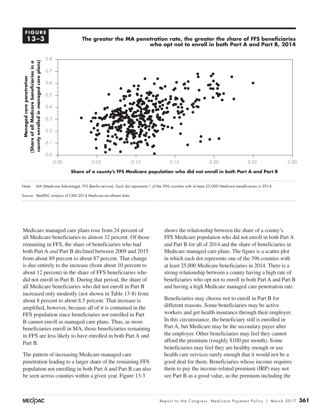



Medicare managed care plans rose from 24 percent of all Medicare beneficiaries to almost 32 percent. Of those remaining in FFS, the share of beneficiaries who had both Part A *and* Part B declined between 2009 and 2015 from about 89 percent to about 87 percent. That change is due entirely to the increase (from about 10 percent to about 12 percent) in the share of FFS beneficiaries who did not enroll in Part B. During that period, the share of beneficiarie all Medicare beneficiaries who did not enroll in Part B and have increased only modestly (not shown in Table 13-8) from about 8 percent to about 8.5 percent. That increase is amplified, however, because all of it is contained in the  $\frac{d}{dx}$ FFS population since beneficiaries not enrolled in Part <sup>WOTKETS</sup> and get health<br>In this circumstance, the legal in Index B cannot enroll in managed care plans. Thus, as more beneficiaries enroll in MA, those beneficiaries remaining in FFS are less likely to have enrolled in both Part A and Part B. • Use paragraph styles (and object styles) to format. The format of the format of  $\mathbf{b}$ 

The pattern of increasing Medicare managed care penetration leading to a larger share of the remaining FFS population not enrolling in both Part A and Part B can also be seen across counties within a given year. Figure 13-3

shows the relationship between the share of a county's FFS Medicare population who did not enroll in both Part A and Part B for all of 2014 and the share of beneficiaries in Medicare managed care plans. The figure is a scatter plot in which each dot represents one of the 396 counties with at least 25,000 Medicare beneficiaries in 2014. There is a strong relationship between a county having a high rate of beneficiaries who opt not to enroll in both Part A and Part B and having a high Medicare managed care penetration rate.

 $\mathbb{R}^n$  is a hadden in Part B for the manual setting may choose not to enroll in Part B for  $\mathbb{R}^n$ different reasons. Some beneficiaries may be active workers and get health insurance through their employer. In this circumstance, the beneficiary still is enrolled in  $\frac{1}{2}$  ciaries enroll in MA, those beneficiaries remaining Part A, but Medicare may be the secondary payer after the employer. Other beneficiaries may feel they cannot afford the premium (roughly \$100 per month). Some beneficiaries may feel they are healthy enough or use health care services rarely enough that it would not be a good deal for them. Beneficiaries whose income requires them to pay the income-related premium (IRP) may not see Part B as a good value, as the premium including the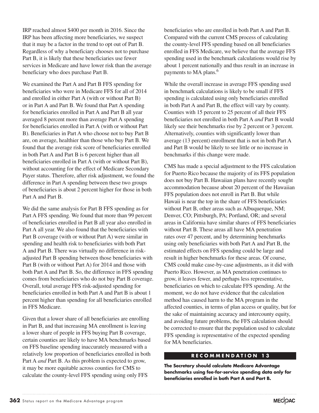IRP reached almost \$400 per month in 2016. Since the IRP has been affecting more beneficiaries, we suspect that it may be a factor in the trend to opt out of Part B. Regardless of why a beneficiary chooses not to purchase Part B, it is likely that these beneficiaries use fewer services in Medicare and have lower risk than the average beneficiary who does purchase Part B.

We examined the Part A and Part B FFS spending for beneficiaries who were in Medicare FFS for all of 2014 and enrolled in either Part A (with or without Part B) or in Part A and Part B. We found that Part A spending for beneficiaries enrolled in Part A and Part B all year averaged 8 percent more than average Part A spending for beneficiaries enrolled in Part A (with or without Part B). Beneficiaries in Part A who choose not to buy Part B are, on average, healthier than those who buy Part B. We found that the average risk score of beneficiaries enrolled in both Part A and Part B is 6 percent higher than all beneficiaries enrolled in Part A (with or without Part B), without accounting for the effect of Medicare Secondary Payer status. Therefore, after risk adjustment, we found the difference in Part A spending between these two groups of beneficiaries is about 2 percent higher for those in both Part A and Part B.

We did the same analysis for Part B FFS spending as for Part A FFS spending. We found that more than 99 percent of beneficiaries enrolled in Part B all year also enrolled in Part A all year. We also found that the beneficiaries with Part B coverage (with or without Part A) were similar in spending and health risk to beneficiaries with both Part A and Part B. There was virtually no difference in riskadjusted Part B spending between those beneficiaries with Part B (with or without Part A) for 2014 and those with both Part A and Part B. So, the difference in FFS spending comes from beneficiaries who do not buy Part B coverage. Overall, total average FFS risk-adjusted spending for beneficiaries enrolled in both Part A and Part B is about 1 percent higher than spending for all beneficiaries enrolled in FFS Medicare.

Given that a lower share of all beneficiaries are enrolling in Part B, and that increasing MA enrollment is leaving a lower share of people in FFS buying Part B coverage, certain counties are likely to have MA benchmarks based on FFS baseline spending inaccurately measured with a relatively low proportion of beneficiaries enrolled in both Part A *and* Part B. As this problem is expected to grow, it may be more equitable across counties for CMS to calculate the county-level FFS spending using only FFS

beneficiaries who are enrolled in both Part A and Part B. Compared with the current CMS process of calculating the county-level FFS spending based on all beneficiaries enrolled in FFS Medicare, we believe that the average FFS spending used in the benchmark calculations would rise by about 1 percent nationally and thus result in an increase in payments to MA plans.<sup>6</sup>

While the overall increase in average FFS spending used in benchmark calculations is likely to be small if FFS spending is calculated using only beneficiaries enrolled in both Part A and Part B, the effect will vary by county. Counties with 15 percent to 25 percent of all their FFS beneficiaries not enrolled in both Part A *and* Part B would likely see their benchmarks rise by 2 percent or 3 percent. Alternatively, counties with significantly lower than average (13 percent) enrollment that is not in both Part A and Part B would be likely to see little or no increase in benchmarks if this change were made.

CMS has made a special adjustment to the FFS calculation for Puerto Rico because the majority of its FFS population does not buy Part B. Hawaiian plans have recently sought accommodation because about 20 percent of the Hawaiian FFS population does not enroll in Part B. But while Hawaii is near the top in the share of FFS beneficiaries without Part B, other areas such as Albuquerque, NM; Denver, CO; Pittsburgh, PA; Portland, OR; and several areas in California have similar shares of FFS beneficiaries without Part B. These areas all have MA penetration rates over 47 percent, and by determining benchmarks using only beneficiaries with both Part A and Part B, the estimated effects on FFS spending could be large and result in higher benchmarks for these areas. Of course, CMS could make case-by-case adjustments, as it did with Puerto Rico. However, as MA penetration continues to grow, it leaves fewer, and perhaps less representative, beneficiaries on which to calculate FFS spending. At the moment, we do not have evidence that the calculation method has caused harm to the MA program in the affected counties, in terms of plan access or quality, but for the sake of maintaining accuracy and intercounty equity, and avoiding future problems, the FFS calculation should be corrected to ensure that the population used to calculate FFS spending is representative of the expected spending for MA beneficiaries.

#### **RECOMMENDATION 13**

**The Secretary should calculate Medicare Advantage benchmarks using fee-for-service spending data only for beneficiaries enrolled in both Part A and Part B.**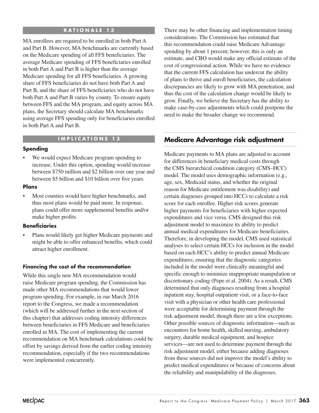#### **RATIONALE 13**

MA enrollees are required to be enrolled in both Part A and Part B. However, MA benchmarks are currently based on the Medicare spending of all FFS beneficiaries. The average Medicare spending of FFS beneficiaries enrolled in both Part A and Part B is higher than the average Medicare spending for all FFS beneficiaries. A growing share of FFS beneficiaries do not have both Part A and Part B, and the share of FFS beneficiaries who do not have both Part A and Part B varies by county. To ensure equity between FFS and the MA program, and equity across MA plans, the Secretary should calculate MA benchmarks using average FFS spending only for beneficiaries enrolled in both Part A and Part B.

#### **IMPLICATIONS 13**

#### **Spending**

We would expect Medicare program spending to increase. Under this option, spending would increase between \$750 million and \$2 billion over one year and between \$5 billion and \$10 billion over five years.

#### **Plans**

• Most counties would have higher benchmarks, and thus most plans would be paid more. In response, plans could offer more supplemental benefits and/or make higher profits.

#### **Beneficiaries**

Plans would likely get higher Medicare payments and might be able to offer enhanced benefits, which could attract higher enrollment.

#### **Financing the cost of the recommendation**

While this single new MA recommendation would raise Medicare program spending, the Commission has made other MA recommendations that would lower program spending. For example, in our March 2016 report to the Congress, we made a recommendation (which will be addressed further in the next section of this chapter) that addresses coding intensity differences between beneficiaries in FFS Medicare and beneficiaries enrolled in MA. The cost of implementing the current recommendation on MA benchmark calculations could be offset by savings derived from the earlier coding intensity recommendation, especially if the two recommendations were implemented concurrently.

There may be other financing and implementation timing considerations. The Commission has estimated that this recommendation could raise Medicare Advantage spending by about 1 percent; however, this is only an estimate, and CBO would make any official estimate of the cost of congressional action. While we have no evidence that the current FFS calculation has undercut the ability of plans to thrive and enroll beneficiaries, the calculation discrepancies are likely to grow with MA penetration, and thus the cost of the calculation change would be likely to grow. Finally, we believe the Secretary has the ability to make case-by-case adjustments which could postpone the need to make the broader change we recommend.

#### **Medicare Advantage risk adjustment**

Medicare payments to MA plans are adjusted to account for differences in beneficiary medical costs through the CMS hierarchical condition category (CMS–HCC) model. The model uses demographic information (e.g., age, sex, Medicaid status, and whether the original reason for Medicare entitlement was disability) and certain diagnoses grouped into HCCs to calculate a risk score for each enrollee. Higher risk scores generate higher payments for beneficiaries with higher expected expenditures and vice versa. CMS designed this risk adjustment model to maximize its ability to predict annual medical expenditures for Medicare beneficiaries. Therefore, in developing the model, CMS used statistical analyses to select certain HCCs for inclusion in the model based on each HCC's ability to predict annual Medicare expenditures, ensuring that the diagnostic categories included in the model were clinically meaningful and specific enough to minimize inappropriate manipulation or discretionary coding (Pope et al. 2004). As a result, CMS determined that only diagnoses resulting from a hospital inpatient stay, hospital outpatient visit, or a face-to-face visit with a physician or other health care professional were acceptable for determining payment through the risk adjustment model, though there are a few exceptions. Other possible sources of diagnostic information—such as encounters for home health, skilled nursing, ambulatory surgery, durable medical equipment, and hospice services—are not used to determine payment through the risk adjustment model, either because adding diagnoses from these sources did not improve the model's ability to predict medical expenditures or because of concerns about the reliability and manipulability of the diagnoses.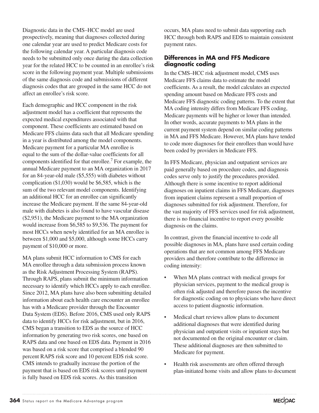Diagnostic data in the CMS–HCC model are used prospectively, meaning that diagnoses collected during one calendar year are used to predict Medicare costs for the following calendar year. A particular diagnosis code needs to be submitted only once during the data collection year for the related HCC to be counted in an enrollee's risk score in the following payment year. Multiple submissions of the same diagnosis code and submissions of different diagnosis codes that are grouped in the same HCC do not affect an enrollee's risk score.

Each demographic and HCC component in the risk adjustment model has a coefficient that represents the expected medical expenditures associated with that component. These coefficients are estimated based on Medicare FFS claims data such that all Medicare spending in a year is distributed among the model components. Medicare payment for a particular MA enrollee is equal to the sum of the dollar-value coefficients for all components identified for that enrollee.<sup>7</sup> For example, the annual Medicare payment to an MA organization in 2017 for an 84-year-old male (\$5,555) with diabetes without complication (\$1,030) would be \$6,585, which is the sum of the two relevant model components. Identifying an additional HCC for an enrollee can significantly increase the Medicare payment. If the same 84-year-old male with diabetes is also found to have vascular disease (\$2,951), the Medicare payment to the MA organization would increase from \$6,585 to \$9,536. The payment for most HCCs when newly identified for an MA enrollee is between \$1,000 and \$5,000, although some HCCs carry payment of \$10,000 or more.

MA plans submit HCC information to CMS for each MA enrollee through a data submission process known as the Risk Adjustment Processing System (RAPS). Through RAPS, plans submit the minimum information necessary to identify which HCCs apply to each enrollee. Since 2012, MA plans have also been submitting detailed information about each health care encounter an enrollee has with a Medicare provider through the Encounter Data System (EDS). Before 2016, CMS used only RAPS data to identify HCCs for risk adjustment, but in 2016, CMS began a transition to EDS as the source of HCC information by generating two risk scores, one based on RAPS data and one based on EDS data. Payment in 2016 was based on a risk score that comprised a blended 90 percent RAPS risk score and 10 percent EDS risk score. CMS intends to gradually increase the portion of the payment that is based on EDS risk scores until payment is fully based on EDS risk scores. As this transition

occurs, MA plans need to submit data supporting each HCC through both RAPS and EDS to maintain consistent payment rates.

#### **Differences in MA and FFS Medicare diagnostic coding**

In the CMS–HCC risk adjustment model, CMS uses Medicare FFS claims data to estimate the model coefficients. As a result, the model calculates an expected spending amount based on Medicare FFS costs and Medicare FFS diagnostic coding patterns. To the extent that MA coding intensity differs from Medicare FFS coding, Medicare payments will be higher or lower than intended. In other words, accurate payments to MA plans in the current payment system depend on similar coding patterns in MA and FFS Medicare. However, MA plans have tended to code more diagnoses for their enrollees than would have been coded by providers in Medicare FFS.

In FFS Medicare, physician and outpatient services are paid generally based on procedure codes, and diagnosis codes serve only to justify the procedures provided. Although there is some incentive to report additional diagnoses on inpatient claims in FFS Medicare, diagnoses from inpatient claims represent a small proportion of diagnoses submitted for risk adjustment. Therefore, for the vast majority of FFS services used for risk adjustment, there is no financial incentive to report every possible diagnosis on the claims.

In contrast, given the financial incentive to code all possible diagnoses in MA, plans have used certain coding operations that are not common among FFS Medicare providers and therefore contribute to the difference in coding intensity:

- When MA plans contract with medical groups for physician services, payment to the medical group is often risk adjusted and therefore passes the incentive for diagnostic coding on to physicians who have direct access to patient diagnostic information.
- Medical chart reviews allow plans to document additional diagnoses that were identified during physician and outpatient visits or inpatient stays but not documented on the original encounter or claim. These additional diagnoses are then submitted to Medicare for payment.
- Health risk assessments are often offered through plan-initiated home visits and allow plans to document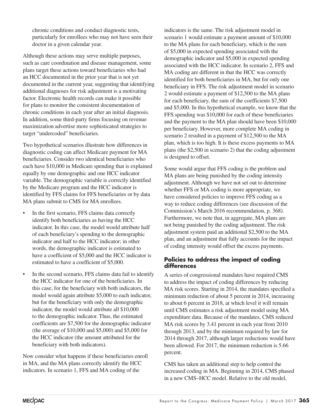chronic conditions and conduct diagnostic tests, particularly for enrollees who may not have seen their doctor in a given calendar year.

Although these actions may serve multiple purposes, such as care coordination and disease management, some plans target these actions toward beneficiaries who had an HCC documented in the prior year that is not yet documented in the current year, suggesting that identifying additional diagnoses for risk adjustment is a motivating factor. Electronic health records can make it possible for plans to monitor the consistent documentation of chronic conditions in each year after an initial diagnosis. In addition, some third-party firms focusing on revenue maximization advertise more sophisticated strategies to target "undercoded" beneficiaries.

Two hypothetical scenarios illustrate how differences in diagnostic coding can affect Medicare payment for MA beneficiaries. Consider two identical beneficiaries who each have \$10,000 in Medicare spending that is explained equally by one demographic and one HCC indicator variable. The demographic variable is correctly identified by the Medicare program and the HCC indicator is identified by FFS claims for FFS beneficiaries or by data MA plans submit to CMS for MA enrollees.

- In the first scenario, FFS claims data correctly identify both beneficiaries as having the HCC indicator. In this case, the model would attribute half of each beneficiary's spending to the demographic indicator and half to the HCC indicator; in other words, the demographic indicator is estimated to have a coefficient of \$5,000 and the HCC indicator is estimated to have a coefficient of \$5,000.
- In the second scenario, FFS claims data fail to identify the HCC indicator for one of the beneficiaries. In this case, for the beneficiary with both indicators, the model would again attribute \$5,000 to each indicator, but for the beneficiary with only the demographic indicator, the model would attribute all \$10,000 to the demographic indicator. Thus, the estimated coefficients are \$7,500 for the demographic indicator (the average of \$10,000 and \$5,000) and \$5,000 for the HCC indicator (the amount attributed for the beneficiary with both indicators).

Now consider what happens if these beneficiaries enroll in MA, and the MA plans correctly identify the HCC indicators. In scenario 1, FFS and MA coding of the

indicators is the same. The risk adjustment model in scenario 1 would estimate a payment amount of \$10,000 to the MA plans for each beneficiary, which is the sum of \$5,000 in expected spending associated with the demographic indicator and \$5,000 in expected spending associated with the HCC indicator. In scenario 2, FFS and MA coding are different in that the HCC was correctly identified for both beneficiaries in MA, but for only one beneficiary in FFS. The risk adjustment model in scenario 2 would estimate a payment of \$12,500 to the MA plans for each beneficiary, the sum of the coefficients \$7,500 and \$5,000. In this hypothetical example, we know that the FFS spending was \$10,000 for each of these beneficiaries and the payment to the MA plan should have been \$10,000 per beneficiary. However, more complete MA coding in scenario 2 resulted in a payment of \$12,500 to the MA plan, which is too high. It is these excess payments to MA plans (the \$2,500 in scenario 2) that the coding adjustment is designed to offset.

Some would argue that FFS coding is the problem and MA plans are being punished by the coding intensity adjustment. Although we have not set out to determine whether FFS or MA coding is more appropriate, we have considered policies to improve FFS coding as a way to reduce coding differences (see discussion of the Commission's March 2016 recommendation, p. 368). Furthermore, we note that, in aggregate, MA plans are not being punished by the coding adjustment. The risk adjustment system paid an additional \$2,500 to the MA plan, and an adjustment that fully accounts for the impact of coding intensity would offset the excess payments.

#### **Policies to address the impact of coding differences**

A series of congressional mandates have required CMS to address the impact of coding differences by reducing MA risk scores. Starting in 2014, the mandates specified a minimum reduction of about 5 percent in 2014, increasing to about 6 percent in 2018, at which level it will remain until CMS estimates a risk adjustment model using MA expenditure data. Because of the mandates, CMS reduced MA risk scores by 3.41 percent in each year from 2010 through 2013, and by the minimum required by law for 2014 through 2017, although larger reductions would have been allowed. For 2017, the minimum reduction is 5.66 percent.

CMS has taken an additional step to help control the increased coding in MA. Beginning in 2014, CMS phased in a new CMS–HCC model. Relative to the old model,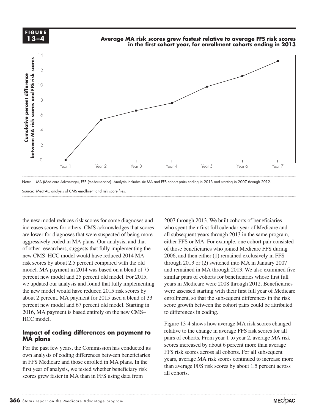



Source: MedPAC analysis of CMS enrollment and risk score files.

the new model reduces risk scores for some diagnoses and increases scores for others. CMS acknowledges that scores are lower for diagnoses that were suspected of being more aggressively coded in MA plans. Our analysis, and that of other researchers, suggests that fully implementing the new CMS–HCC model would have reduced 2014 MA risk scores by about 2.5 percent compared with the old model. MA payment in 2014 was based on a blend of 75 percent new model and 25 percent old model. For 2015, similar pair we updated our analysis and found that fully implementing years in the new model would have reduced 2015 risk scores by about 2 percent. MA payment for 2015 used a blend of 33 percent new model and 67 percent old model. Starting in score growt 2016, MA payment is based entirely on the new CMS– to differences in codin HCC model.

#### **Impact of coding differences on payment to MA plans**  $\mathbf{plans}$  is a paragraph style styles (and object styles) to format.

For the past few years, the Commission has conducted its own analysis of coding differences between beneficiaries in FFS Medicare and those enrolled in MA plans. In the first year of analysis, we tested whether beneficiary risk scores grew faster in MA than in FFS using data from

2007 through 2013. We built cohorts of beneficiaries who spent their first full calendar year of Medicare and all subsequent years through 2013 in the same program, either FFS or MA. For example, one cohort pair consisted of those beneficiaries who joined Medicare FFS during 2006, and then either (1) remained exclusively in FFS through 2013 or (2) switched into MA in January 2007 and remained in MA through 2013. We also examined five similar pairs of cohorts for beneficiaries whose first full years in Medicare were 2008 through 2012. Beneficiaries were assessed starting with their first full year of Medicare were assessed starting with their first rail year of wederate the subsequent differences in the risk and payment for 2015 used a blend of 33 enrollment, so that the subsequent differences in the risk score growth between the cohort pairs could be attributed to differences in coding.

Figure 13-4 shows how average MA risk scores changed relative to the change in average FFS risk scores for all pairs of cohorts. From year 1 to year 2, average MA risk scores increased by about 6 percent more than average FFS risk scores across all cohorts. For all subsequent years, average MA risk scores continued to increase more than average FFS risk scores by about 1.5 percent across all cohorts.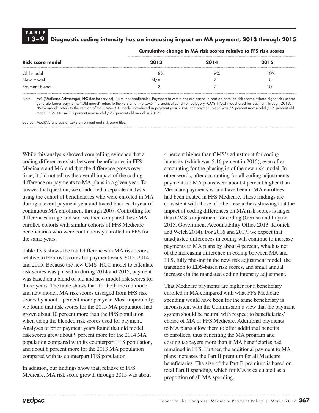## **TABLE**

### **13–9 Diagnostic coding intensity has an increasing impact on MA payment, 2013 through 2015**

| Risk score model | 2013 | 2014 | 2015 |
|------------------|------|------|------|
| Old model        | 8%   | 9%   | 10%  |
| New model        | N/A  |      |      |
| Payment blend    |      |      | U    |

**Cumulative change in MA risk scores relative to FFS risk scores**

Note: MA (Medicare Advantage), FFS (fee-for-service), N/A (not applicable). Payments to MA plans are based in part on enrollee risk scores, where higher risk scores generate larger payments. "Old model" refers to the version of the CMS–hierarchical condition category (CMS–HCC) model used for payment through 2013. "New model" refers to the version of the CMS–HCC model introduced in payment year 2014. The payment blend was 75 percent new model / 25 percent old model in 2014 and 33 percent new model / 67 percent old model in 2015.

Source: MedPAC analysis of CMS enrollment and risk score files.

While this analysis showed compelling evidence that a coding difference exists between beneficiaries in FFS Medicare and MA and that the difference grows over time, it did not tell us the overall impact of the coding difference on payments to MA plans in a given year. To answer that question, we conducted a separate analysis using the cohort of beneficiaries who were enrolled in MA during a recent payment year and traced back each year of continuous MA enrollment through 2007. Controlling for differences in age and sex, we then compared these MA enrollee cohorts with similar cohorts of FFS Medicare beneficiaries who were continuously enrolled in FFS for the same years.

Table 13-9 shows the total differences in MA risk scores relative to FFS risk scores for payment years 2013, 2014, and 2015. Because the new CMS–HCC model to calculate risk scores was phased in during 2014 and 2015, payment was based on a blend of old and new model risk scores for those years. The table shows that, for both the old model and new model, MA risk scores diverged from FFS risk scores by about 1 percent more per year. Most importantly, we found that risk scores for the 2015 MA population had grown about 10 percent more than the FFS population when using the blended risk scores used for payment. Analyses of prior payment years found that old model risk scores grew about 9 percent more for the 2014 MA population compared with its counterpart FFS population, and about 8 percent more for the 2013 MA population compared with its counterpart FFS population.

In addition, our findings show that, relative to FFS Medicare, MA risk score growth through 2015 was about 4 percent higher than CMS's adjustment for coding intensity (which was 5.16 percent in 2015), even after accounting for the phasing in of the new risk model. In other words, after accounting for all coding adjustments, payments to MA plans were about 4 percent higher than Medicare payments would have been if MA enrollees had been treated in FFS Medicare. These findings are consistent with those of other researchers showing that the impact of coding differences on MA risk scores is larger than CMS's adjustment for coding (Geruso and Layton 2015, Government Accountability Office 2013, Kronick and Welch 2014). For 2016 and 2017, we expect that unadjusted differences in coding will continue to increase payments to MA plans by about 4 percent, which is net of the increasing difference in coding between MA and FFS, fully phasing in the new risk adjustment model, the transition to EDS-based risk scores, and small annual increases in the mandated coding intensity adjustment.

That Medicare payments are higher for a beneficiary enrolled in MA compared with what FFS Medicare spending would have been for the same beneficiary is inconsistent with the Commission's view that the payment system should be neutral with respect to beneficiaries' choice of MA or FFS Medicare. Additional payments to MA plans allow them to offer additional benefits to enrollees, thus benefiting the MA program and costing taxpayers more than if MA beneficiaries had remained in FFS. Further, the additional payment to MA plans increases the Part B premium for all Medicare beneficiaries. The size of the Part B premium is based on total Part B spending, which for MA is calculated as a proportion of all MA spending.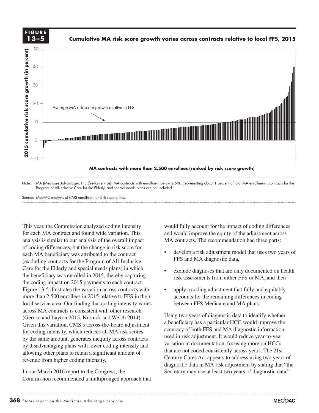

Source: MedPAC analysis of CMS enrollment and risk score files.

This year, the Commission analyzed coding intensity for each MA contract and found wide variation. This analysis is similar to our analysis of the overall impact of coding differences, but the change in risk score for each MA beneficiary was attributed to the contract (excluding contracts for the Program of All-Inclusive Care for the Elderly and special needs plans) in which vertex exclude the beneficiary was enrolled in 2015, thereby capturing  $\frac{1}{11}$  risk the coding impact on 2015 payments to each contract. Figure 13-5 illustrates the variation across contracts with our apply a coding adjustment that fully and equitably more than 2,500 enrollees in 2015 relative to FFS in their account local service area. Our finding that coding intensity varies across MA contracts is consistent with other research Given this variation, CMS's across-the-board adjustment for coding intensity, which reduces all MA risk scores  $\frac{\text{acl}}{\text{useer}}$ by the same amount, generates inequity across contracts by disadvantaging plans with lower coding intensity and allowing other plans to retain a significant amount of revenue from higher coding intensity.

In our March 2016 report to the Congress, the Commission recommended a multipronged approach that

would fully account for the impact of coding differences and would improve the equity of the adjustment across MA contracts. The recommendation had three parts:

- develop a risk adjustment model that uses two years of FFS and MA diagnostic data,
- exclude diagnoses that are only documented on health risk assessments from either FFS or MA, and then
- apply a coding adjustment that fully and equitably accounts for the remaining differences in coding between FFS Medicare and MA plans.

Using two years of diagnostic data to identify whether a beneficiary has a particular HCC would improve the accuracy of both FFS and MA diagnostic information used in risk adjustment. It would reduce year-to-year variation in documentation, focusing more on HCCs that are not coded consistently across years. The 21st Century Cures Act appears to address using two years of diagnostic data in MA risk adjustment by stating that "the Secretary may use at least two years of diagnostic data." (Geruso and Layton 2015, Kronick and Welch 2014). Using two years of diagnostic data to identify whether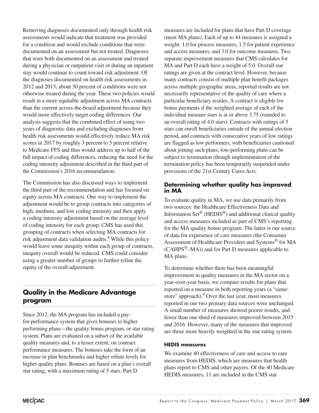Removing diagnoses documented only through health risk assessments would indicate that treatment was provided for a condition and would exclude conditions that were documented on an assessment but not treated. Diagnoses that were both documented on an assessment and treated during a physician or outpatient visit or during an inpatient stay would continue to count toward risk adjustment. Of the diagnoses documented on health risk assessments in 2012 and 2013, about 30 percent of conditions were not otherwise treated during the year. These two policies would result in a more equitable adjustment across MA contracts than the current across-the-board adjustment because they would more effectively target coding differences. Our analysis suggests that the combined effect of using two years of diagnostic data and excluding diagnoses from health risk assessments would effectively reduce MA risk scores in 2017 by roughly 3 percent to 5 percent relative to Medicare FFS and thus would address up to half of the full impact of coding differences, reducing the need for the coding intensity adjustment described in the third part of the Commission's 2016 recommendation.

The Commission has also discussed ways to implement the third part of the recommendation and has focused on equity across MA contracts. One way to implement the adjustment would be to group contracts into categories of high, medium, and low coding intensity and then apply a coding intensity adjustment based on the average level of coding intensity for each group. CMS has used this grouping of contracts when selecting MA contracts for risk adjustment data validation audits.<sup>8</sup> While this policy would leave some inequity within each group of contracts, inequity overall would be reduced. CMS could consider using a greater number of groups to further refine the equity of the overall adjustment.

#### **Quality in the Medicare Advantage program**

Since 2012, the MA program has included a payfor-performance system that gives bonuses to higher performing plans—the quality bonus program, or star rating system. Plans are evaluated on a subset of the available quality measures and, to a lesser extent, on contract performance measures. The bonuses take the form of an increase in plan benchmarks and higher rebate levels for higher quality plans. Bonuses are based on a plan's overall star rating, with a maximum rating of 5 stars. Part D

measures are included for plans that have Part D coverage (most MA plans). Each of up to 44 measures is assigned a weight: 1.0 for process measures, 1.5 for patient experience and access measures, and 3.0 for outcome measures. Two separate improvement measures that CMS calculates for MA and Part D each have a weight of 5.0. Overall star ratings are given at the contract level. However, because many contracts consist of multiple plan benefit packages across multiple geographic areas, reported results are not necessarily representative of the quality of care where a particular beneficiary resides. A contract is eligible for bonus payments if the weighted average of each of the individual measure stars is at or above 3.75 (rounded to an overall rating of 4.0 stars). Contracts with ratings of 5 stars can enroll beneficiaries outside of the annual election period, and contracts with consecutive years of low ratings are flagged as low performers, with beneficiaries cautioned about joining such plans; low-performing plans can be subject to termination (though implementation of the termination policy has been temporarily suspended under provisions of the 21st Century Cures Act).

#### **Determining whether quality has improved in MA**

To evaluate quality in MA, we use data primarily from two sources: the Healthcare Effectiveness Data and Information Set® (HEDIS®) and additional clinical quality and access measures included as part of CMS's reporting for the MA quality bonus program. The latter is our source of data for experience of care measures (the Consumer Assessment of Healthcare Providers and Systems® for MA  $(CAHPS^<sup>®</sup>–MA)$  and for Part D measures applicable to MA plans.

To determine whether there has been meaningful improvement in quality measures in the MA sector on a year-over-year basis, we compare results for plans that reported on a measure in both reporting years (a "samestore" approach).<sup>9</sup> Over the last year, most measures reported in our two primary data sources were unchanged. A small number of measures showed poorer results, and fewer than one-third of measures improved between 2015 and 2016. However, many of the measures that improved are those more heavily weighted in the star rating system.

#### **HEDIS measures**

We examine 40 effectiveness of care and access to care measures from HEDIS, which are measures that health plans report to CMS and other payers. Of the 40 Medicare HEDIS measures, 11 are included in the CMS star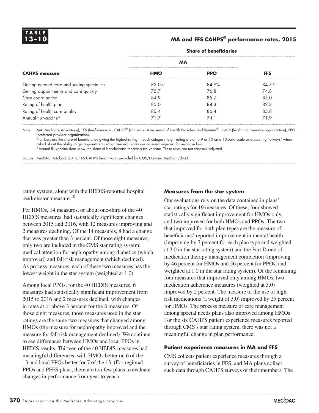#### **13–10 MA and FFS CAHPS® performance rates, 2015**

|                                            | <b>MA</b>  |            |            |
|--------------------------------------------|------------|------------|------------|
| <b>CAHPS</b> measure                       | <b>HMO</b> | <b>PPO</b> | <b>FFS</b> |
| Getting needed care and seeing specialists | 83.0%      | 84.9%      | 84.7%      |
| Getting appointments and care quickly      | 75.7       | 76.8       | 74.8       |
| Care coordination                          | 84.9       | 85.7       | 85.0       |
| Rating of health plan                      | 85.0       | 84.3       | 82.3       |
| Rating of health care quality              | 8.5.4      | 86.4       | 8.5.8      |
| Annual flu vaccine*                        | 717        | 74.1       | 71.9       |

#### **Share of beneficiaries**

Note: MA (Medicare Advantage), FFS (fee-for-service), CAHPS® (Consumer Assessment of Health Providers and Systems®), HMO (health maintenance organization), PPO (preferred provider organization).

Numbers are the share of beneficiaries giving the highest rating in each category (e.g., rating a plan a 9 or 10 on a 10-point scale or answering "always" when asked about the ability to get appointments when needed). Rates are case-mix adjusted for response bias.

\*Annual flu vaccine data show the share of beneficiaries receiving the vaccine. These rates are not case-mix adjusted.

Source: MedPAC Databook 2016; FFS CAHPS benchmarks provided by CMS/Harvard Medical School.

rating system, along with the HEDIS-reported hospital readmission measure.10

For HMOs, 14 measures, or about one-third of the 40 HEDIS measures, had statistically significant changes between 2015 and 2016, with 12 measures improving and 2 measures declining. Of the 14 measures, 8 had a change that was greater than 3 percent. Of those eight measures, only two are included in the CMS star rating system: medical attention for nephropathy among diabetics (which improved) and fall risk management (which declined). As process measures, each of these two measures has the lowest weight in the star system (weighted at 1.0).

Among local PPOs, for the 40 HEDIS measures, 6 measures had statistically significant improvement from 2015 to 2016 and 2 measures declined, with changes in rates at or above 3 percent for the 8 measures. Of those eight measures, those measures used in the star ratings are the same two measures that changed among HMOs (the measure for nephropathy improved and the measure for fall risk management declined). We continue to see differences between HMOs and local PPOs in HEDIS results. Thirteen of the 40 HEDIS measures had meaningful differences, with HMOs better on 6 of the 13 and local PPOs better for 7 of the 13. (For regional PPOs and PFFS plans, there are too few plans to evaluate changes in performance from year to year.)

#### **Measures from the star system**

Our evaluations rely on the data contained in plans' star ratings for 19 measures. Of these, four showed statistically significant improvement for HMOs only, and two improved for both HMOs and PPOs. The two that improved for both plan types are the measure of beneficiaries' reported improvement in mental health (improving by 7 percent for each plan type and weighted at 3.0 in the star rating system) and the Part D rate of medication therapy management completion (improving by 46 percent for HMOs and 56 percent for PPOs, and weighted at 1.0 in the star rating system). Of the remaining four measures that improved only among HMOs, two medication adherence measures (weighted at 3.0) improved by 2 percent. The measure of the use of highrisk medications (a weight of 3.0) improved by 25 percent for HMOs. The process measure of care management among special needs plans also improved among HMOs. For the six CAHPS patient experience measures reported through CMS's star rating system, there was not a meaningful change in plan performance.

#### **Patient experience measures in MA and FFS**

CMS collects patient experience measures through a survey of beneficiaries in FFS, and MA plans collect such data through CAHPS surveys of their members. The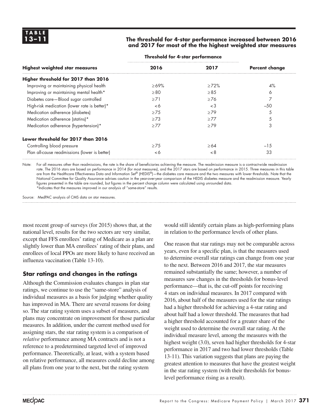#### **13–11 The threshold for 4-star performance increased between 2016 and 2017 for most of the the highest weighted star measures**

| 2016      | 2017       | <b>Percent change</b>                       |
|-----------|------------|---------------------------------------------|
|           |            |                                             |
| $>69\%$   | >72%       | $4\%$                                       |
| $\geq 80$ | $\geq 8.5$ | 6                                           |
| $\geq 71$ | $\geq 76$  |                                             |
| $\leq 6$  | $\lt3$     | $-50$                                       |
| $\geq$ 75 | >79        |                                             |
| $\geq$ 73 | $\geq$ 77  | 5                                           |
| $\geq$ 77 | >79        | 3                                           |
|           |            |                                             |
| $\geq$ 75 | $\geq 64$  | $-15$                                       |
| < 6       | < 8        | 33                                          |
|           |            | <u> Juliana lui II dial politicilialist</u> |

#### **Threshold for 4-star performance**

Note: For all measures other than readmissions, the rate is the share of beneficiaries achieving the measure. The readmission measure is a contract-wide readmission rate. The 2016 stars are based on performance in 2014 (for most measures), and the 2017 stars are based on performance in 2015. Three measures in this table are from the Healthcare Effectiveness Data and Information Set® (HEDIS®)—the diabetes care measure and the two measures with lower thresholds. Note that the National Committee for Quality Assurance advises caution in the year-over-year comparison of the HEDIS diabetes measure and the readmission measure. Yearly figures presented in the table are rounded, but figures in the percent change column were calculated using unrounded data. \*Indicates that the measures improved in our analysis of "same-store" results.

Source: MedPAC analysis of CMS data on star measures.

most recent group of surveys (for 2015) shows that, at the national level, results for the two sectors are very similar, except that FFS enrollees' rating of Medicare as a plan are slightly lower than MA enrollees' rating of their plans, and enrollees of local PPOs are more likely to have received an influenza vaccination (Table 13-10).

#### **Star ratings and changes in the ratings**

Although the Commission evaluates changes in plan star ratings, we continue to use the "same-store" analysis of individual measures as a basis for judging whether quality has improved in MA. There are several reasons for doing so. The star rating system uses a subset of measures, and plans may concentrate on improvement for those particular measures. In addition, under the current method used for assigning stars, the star rating system is a comparison of *relative* performance among MA contracts and is not a reference to a predetermined targeted level of improved performance. Theoretically, at least, with a system based on relative performance, all measures could decline among all plans from one year to the next, but the rating system

would still identify certain plans as high-performing plans in relation to the performance levels of other plans.

One reason that star ratings may not be comparable across years, even for a specific plan, is that the measures used to determine overall star ratings can change from one year to the next. Between 2016 and 2017, the star measures remained substantially the same; however, a number of measures saw changes in the thresholds for bonus-level performance—that is, the cut-off points for receiving 4 stars on individual measures. In 2017 compared with 2016, about half of the measures used for the star ratings had a higher threshold for achieving a 4-star rating and about half had a lower threshold. The measures that had a higher threshold accounted for a greater share of the weight used to determine the overall star rating. At the individual measure level, among the measures with the highest weight (3.0), seven had higher thresholds for 4-star performance in 2017 and two had lower thresholds (Table 13-11). This variation suggests that plans are paying the greatest attention to measures that have the greatest weight in the star rating system (with their thresholds for bonuslevel performance rising as a result).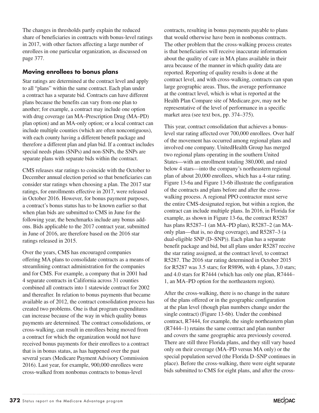The changes in thresholds partly explain the reduced share of beneficiaries in contracts with bonus-level ratings in 2017, with other factors affecting a large number of enrollees in one particular organization, as discussed on page 377.

#### **Moving enrollees to bonus plans**

Star ratings are determined at the contract level and apply to all "plans" within the same contract. Each plan under a contract has a separate bid. Contracts can have different plans because the benefits can vary from one plan to another; for example, a contract may include one option with drug coverage (an MA–Prescription Drug (MA–PD) plan option) and an MA-only option; or a local contract can include multiple counties (which are often noncontiguous), with each county having a different benefit package and therefore a different plan and plan bid. If a contract includes special needs plans (SNPs) and non-SNPs, the SNPs are separate plans with separate bids within the contract.

CMS releases star ratings to coincide with the October to December annual election period so that beneficiaries can consider star ratings when choosing a plan. The 2017 star ratings, for enrollments effective in 2017, were released in October 2016. However, for bonus payment purposes, a contract's bonus status has to be known earlier so that when plan bids are submitted to CMS in June for the following year, the benchmarks include any bonus addons. Bids applicable to the 2017 contract year, submitted in June of 2016, are therefore based on the 2016 star ratings released in 2015.

Over the years, CMS has encouraged companies offering MA plans to consolidate contracts as a means of streamlining contract administration for the companies and for CMS. For example, a company that in 2001 had 4 separate contracts in California across 31 counties combined all contracts into 1 statewide contract for 2002 and thereafter. In relation to bonus payments that became available as of 2012, the contract consolidation process has created two problems. One is that program expenditures can increase because of the way in which quality bonus payments are determined. The contract consolidations, or cross-walking, can result in enrollees being moved from a contract for which the organization would not have received bonus payments for their enrollees to a contract that is in bonus status, as has happened over the past several years (Medicare Payment Advisory Commission 2016). Last year, for example, 900,000 enrollees were cross-walked from nonbonus contracts to bonus-level

contracts, resulting in bonus payments payable to plans that would otherwise have been in nonbonus contracts. The other problem that the cross-walking process creates is that beneficiaries will receive inaccurate information about the quality of care in MA plans available in their area because of the manner in which quality data are reported. Reporting of quality results is done at the contract level, and with cross-walking, contracts can span large geographic areas. Thus, the average performance at the contract level, which is what is reported at the Health Plan Compare site of Medicare.gov, may not be representative of the level of performance in a specific market area (see text box, pp. 374–375).

This year, contract consolidation that achieves a bonuslevel star rating affected over 700,000 enrollees. Over half of the movement has occurred among regional plans and involved one company. UnitedHealth Group has merged two regional plans operating in the southern United States—with an enrollment totaling 380,000, and rated below 4 stars—into the company's northeastern regional plan of about 20,000 enrollees, which has a 4-star rating. Figure 13-6a and Figure 13-6b illustrate the configuration of the contracts and plans before and after the crosswalking process. A regional PPO contractor must serve the entire CMS-designated region, but within a region, the contract can include multiple plans. In 2016, in Florida for example, as shown in Figure 13-6a, the contract R5287 has plans R5287–1 (an MA–PD plan), R5287–2 (an MAonly plan—that is, no drug coverage), and R5287–3 (a dual-eligible SNP (D–SNP)). Each plan has a separate benefit package and bid, but all plans under R5287 receive the star rating assigned, at the contract level, to contract R5287. The 2016 star rating determined in October 2015 for R5287 was 3.5 stars; for R9896, with 4 plans, 3.0 stars; and 4.0 stars for R7444 (which has only one plan, R7444– 1, an MA–PD option for the northeastern region).

After the cross-walking, there is no change in the nature of the plans offered or in the geographic configuration at the plan level (though plan numbers change under the single contract) (Figure 13-6b). Under the combined contract, R7444, for example, the single northeastern plan (R7444–1) retains the same contract and plan number and covers the same geographic area previously covered. There are still three Florida plans, and they still vary based only on their coverage (MA–PD versus MA only) or the special population served (the Florida D–SNP continues in place). Before the cross-walking, there were eight separate bids submitted to CMS for eight plans, and after the cross-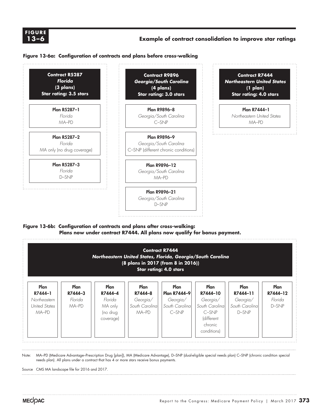#### **XXXIDE X-X FIGURE 13–6**

#### **Example of contract consolidation to improve star ratings**

#### **Figure 13-6a: Configuration of contracts and plans before cross-walking**



#### **Figure 13-6b: Configuration of contracts and plans after cross-walking: Plans now under contract R7444. All plans now qualify for bonus payment.**



Note: MA–PD (Medicare Advantage–Prescription Drug [plan]), MA (Medicare Advantage), D–SNP (dual-eligible special needs plan) C–SNP (chronic condition special needs plan). All plans under a contract that has 4 or more stars receive bonus payments.

Source CMS MA landscape file for 2016 and 2017.

Note and Source in InDesign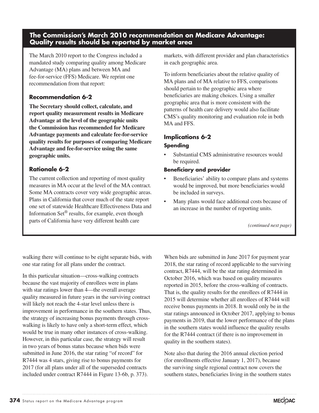#### **The Commission's March 2010 recommendation on Medicare Advantage: Quality results should be reported by market area**

The March 2010 report to the Congress included a mandated study comparing quality among Medicare Advantage (MA) plans and between MA and fee-for-service (FFS) Medicare. We reprint one recommendation from that report:

#### **Recommendation 6-2**

**The Secretary should collect, calculate, and report quality measurement results in Medicare Advantage at the level of the geographic units the Commission has recommended for Medicare Advantage payments and calculate fee-for-service quality results for purposes of comparing Medicare Advantage and fee-for-service using the same geographic units.** 

#### **Rationale 6-2**

The current collection and reporting of most quality measures in MA occur at the level of the MA contract. Some MA contracts cover very wide geographic areas. Plans in California that cover much of the state report one set of statewide Healthcare Effectiveness Data and Information Set® results, for example, even though parts of California have very different health care

markets, with different provider and plan characteristics in each geographic area.

To inform beneficiaries about the relative quality of MA plans and of MA relative to FFS, comparisons should pertain to the geographic area where beneficiaries are making choices. Using a smaller geographic area that is more consistent with the patterns of health care delivery would also facilitate CMS's quality monitoring and evaluation role in both MA and FFS.

#### **Implications 6-2**

#### **Spending**

Substantial CMS administrative resources would be required.

#### **Beneficiary and provider**

- Beneficiaries' ability to compare plans and systems would be improved, but more beneficiaries would be included in surveys.
- Many plans would face additional costs because of an increase in the number of reporting units.

*(continued next page)*

walking there will continue to be eight separate bids, with one star rating for all plans under the contract.

In this particular situation—cross-walking contracts because the vast majority of enrollees were in plans with star ratings lower than 4—the overall average quality measured in future years in the surviving contract will likely not reach the 4-star level unless there is improvement in performance in the southern states. Thus, the strategy of increasing bonus payments through crosswalking is likely to have only a short-term effect, which would be true in many other instances of cross-walking. However, in this particular case, the strategy will result in two years of bonus status because when bids were submitted in June 2016, the star rating "of record" for R7444 was 4 stars, giving rise to bonus payments for 2017 (for all plans under all of the superseded contracts included under contract R7444 in Figure 13-6b, p. 373).

When bids are submitted in June 2017 for payment year 2018, the star rating of record applicable to the surviving contract, R7444, will be the star rating determined in October 2016, which was based on quality measures reported in 2015, before the cross-walking of contracts. That is, the quality results for the enrollees of R7444 in 2015 will determine whether all enrollees of R7444 will receive bonus payments in 2018. It would only be in the star ratings announced in October 2017, applying to bonus payments in 2019, that the lower performance of the plans in the southern states would influence the quality results for the R7444 contract (if there is no improvement in quality in the southern states).

Note also that during the 2016 annual election period (for enrollments effective January 1, 2017), because the surviving single regional contract now covers the southern states, beneficiaries living in the southern states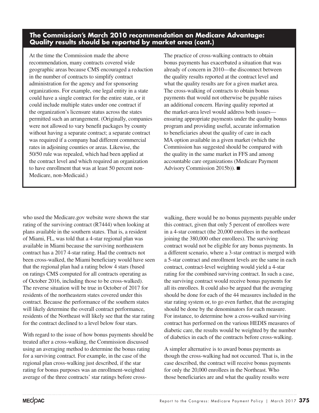#### **The Commission's March 2010 recommendation on Medicare Advantage: Quality results should be reported by market area (cont.)**

At the time the Commission made the above recommendation, many contracts covered wide geographic areas because CMS encouraged a reduction in the number of contracts to simplify contract administration for the agency and for sponsoring organizations. For example, one legal entity in a state could have a single contract for the entire state, or it could include multiple states under one contract if the organization's licensure status across the states permitted such an arrangement. (Originally, companies were not allowed to vary benefit packages by county without having a separate contract; a separate contract was required if a company had different commercial rates in adjoining counties or areas. Likewise, the 50/50 rule was repealed, which had been applied at the contract level and which required an organization to have enrollment that was at least 50 percent non-Medicare, non-Medicaid.)

The practice of cross-walking contracts to obtain bonus payments has exacerbated a situation that was already of concern in 2010—the disconnect between the quality results reported at the contract level and what the quality results are for a given market area. The cross-walking of contracts to obtain bonus payments that would not otherwise be payable raises an additional concern. Having quality reported at the market-area level would address both issues ensuring appropriate payments under the quality bonus program and providing useful, accurate information to beneficiaries about the quality of care in each MA option available in a given market (which the Commission has suggested should be compared with the quality in the same market in FFS and among accountable care organizations (Medicare Payment Advisory Commission 2015b)). ■

who used the Medicare.gov website were shown the star rating of the surviving contract (R7444) when looking at plans available in the southern states. That is, a resident of Miami, FL, was told that a 4-star regional plan was available in Miami because the surviving northeastern contract has a 2017 4-star rating. Had the contracts not been cross-walked, the Miami beneficiary would have seen that the regional plan had a rating below 4 stars (based on ratings CMS computed for all contracts operating as of October 2016, including those to be cross-walked). The reverse situation will be true in October of 2017 for residents of the northeastern states covered under this contract. Because the performance of the southern states will likely determine the overall contract performance, residents of the Northeast will likely see that the star rating for the contract declined to a level below four stars.

With regard to the issue of how bonus payments should be treated after a cross-walking, the Commission discussed using an averaging method to determine the bonus rating for a surviving contract. For example, in the case of the regional plan cross-walking just described, if the star rating for bonus purposes was an enrollment-weighted average of the three contracts' star ratings before cross-

walking, there would be no bonus payments payable under this contract, given that only 5 percent of enrollees were in a 4-star contract (the 20,000 enrollees in the northeast joining the 380,000 other enrollees). The surviving contract would not be eligible for any bonus payments. In a different scenario, where a 3-star contract is merged with a 5-star contract and enrollment levels are the same in each contract, contract-level weighting would yield a 4-star rating for the combined surviving contract. In such a case, the surviving contract would receive bonus payments for all its enrollees. It could also be argued that the averaging should be done for each of the 44 measures included in the star rating system or, to go even further, that the averaging should be done by the denominators for each measure. For instance, to determine how a cross-walked surviving contract has performed on the various HEDIS measures of diabetic care, the results would be weighted by the number of diabetics in each of the contracts before cross-walking.

A simpler alternative is to award bonus payments as though the cross-walking had not occurred. That is, in the case described, the contract will receive bonus payments for only the 20,000 enrollees in the Northeast. Who those beneficiaries are and what the quality results were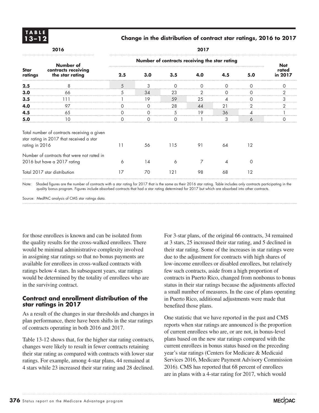

#### **13–12 Change in the distribution of contract star ratings, 2016 to 2017**

| 2016                                                                      |                                                                                         | 2017                                          |          |          |               |          |          |                  |
|---------------------------------------------------------------------------|-----------------------------------------------------------------------------------------|-----------------------------------------------|----------|----------|---------------|----------|----------|------------------|
| <b>Star</b><br>ratings                                                    | Number of<br>contracts receiving<br>the star rating                                     | Number of contracts receiving the star rating |          |          |               |          |          | <b>Not</b>       |
|                                                                           |                                                                                         | 2.5                                           | 3.0      | 3.5      | 4.0           | 4.5      | 5.0      | rated<br>in 2017 |
| 2.5                                                                       | 8                                                                                       | 5                                             | 3        | $\Omega$ | $\Omega$      | $\Omega$ | 0        | $\Omega$         |
| 3.0                                                                       | 66                                                                                      | 5                                             | 34       | 23       | $\mathcal{P}$ | $\Omega$ | 0        | 2                |
| 3.5                                                                       | 111                                                                                     |                                               | 19       | 59       | 25            | 4        | $\Omega$ | 3                |
| 4.0                                                                       | 97                                                                                      | $\Omega$                                      | $\Omega$ | 28       | 44            | 21       | 2        | 2                |
| 4.5                                                                       | 65                                                                                      | 0                                             | $\Omega$ | 5        | 19            | 36       | 4        |                  |
| 5.0                                                                       | 10                                                                                      | $\Omega$                                      | $\Omega$ | $\Omega$ |               | 3        | 6        | $\Omega$         |
| rating in 2016                                                            | Total number of contracts receiving a given<br>star rating in 2017 that received a star | 11                                            | 56       | 115      | 91            | 64       | 12       |                  |
| Number of contracts that were not rated in<br>2016 but have a 2017 rating |                                                                                         | 6                                             | 14       | 6        | 7             | 4        | 0        |                  |
| Total 2017 star distribution                                              |                                                                                         | 17                                            | 70       | 121      | 98            | 68       | 12       |                  |

Note: Shaded figures are the number of contracts with a star rating for 2017 that is the same as their 2016 star rating. Table includes only contracts participating in the quality bonus program. Figures include absorbed contracts that had a star rating determined for 2017 but which are absorbed into other contracts.

Source: MedPAC analysis of CMS star ratings data.

for those enrollees is known and can be isolated from the quality results for the cross-walked enrollees. There would be minimal administrative complexity involved in assigning star ratings so that no bonus payments are available for enrollees in cross-walked contracts with ratings below 4 stars. In subsequent years, star ratings would be determined by the totality of enrollees who are in the surviving contract.

#### **Contract and enrollment distribution of the star ratings in 2017**

As a result of the changes in star thresholds and changes in plan performance, there have been shifts in the star ratings of contracts operating in both 2016 and 2017.

Table 13-12 shows that, for the higher star rating contracts, changes were likely to result in fewer contracts retaining their star rating as compared with contracts with lower star ratings. For example, among 4-star plans, 44 remained at 4 stars while 23 increased their star rating and 28 declined.

For 3-star plans, of the original 66 contracts, 34 remained at 3 stars, 25 increased their star rating, and 5 declined in their star rating. Some of the increases in star ratings were due to the adjustment for contracts with high shares of low-income enrollees or disabled enrollees, but relatively few such contracts, aside from a high proportion of contracts in Puerto Rico, changed from nonbonus to bonus status in their star ratings because the adjustments affected a small number of measures. In the case of plans operating in Puerto Rico, additional adjustments were made that benefited those plans.

One statistic that we have reported in the past and CMS reports when star ratings are announced is the proportion of current enrollees who are, or are not, in bonus-level plans based on the new star ratings compared with the current enrollees in bonus status based on the preceding year's star ratings (Centers for Medicare & Medicaid Services 2016, Medicare Payment Advisory Commission 2016). CMS has reported that 68 percent of enrollees are in plans with a 4-star rating for 2017, which would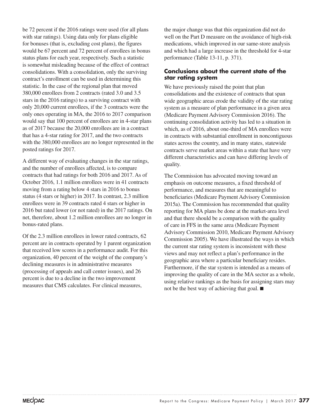be 72 percent if the 2016 ratings were used (for all plans with star ratings). Using data only for plans eligible for bonuses (that is, excluding cost plans), the figures would be 67 percent and 72 percent of enrollees in bonus status plans for each year, respectively. Such a statistic is somewhat misleading because of the effect of contract consolidations. With a consolidation, only the surviving contract's enrollment can be used in determining this statistic. In the case of the regional plan that moved 380,000 enrollees from 2 contracts (rated 3.0 and 3.5 stars in the 2016 ratings) to a surviving contract with only 20,000 current enrollees, if the 3 contracts were the only ones operating in MA, the 2016 to 2017 comparison would say that 100 percent of enrollees are in 4-star plans as of 2017 because the 20,000 enrollees are in a contract that has a 4-star rating for 2017, and the two contracts with the 380,000 enrollees are no longer represented in the posted ratings for 2017.

A different way of evaluating changes in the star ratings, and the number of enrollees affected, is to compare contracts that had ratings for both 2016 and 2017. As of October 2016, 1.1 million enrollees were in 41 contracts moving from a rating below 4 stars in 2016 to bonus status (4 stars or higher) in 2017. In contrast, 2.3 million enrollees were in 39 contracts rated 4 stars or higher in 2016 but rated lower (or not rated) in the 2017 ratings. On net, therefore, about 1.2 million enrollees are no longer in bonus-rated plans.

Of the 2.3 million enrollees in lower rated contracts, 62 percent are in contracts operated by 1 parent organization that received low scores in a performance audit. For this organization, 40 percent of the weight of the company's declining measures is in administrative measures (processing of appeals and call center issues), and 26 percent is due to a decline in the two improvement measures that CMS calculates. For clinical measures,

the major change was that this organization did not do well on the Part D measure on the avoidance of high-risk medications, which improved in our same-store analysis and which had a large increase in the threshold for 4-star performance (Table 13-11, p. 371).

#### **Conclusions about the current state of the star rating system**

We have previously raised the point that plan consolidations and the existence of contracts that span wide geographic areas erode the validity of the star rating system as a measure of plan performance in a given area (Medicare Payment Advisory Commission 2016). The continuing consolidation activity has led to a situation in which, as of 2016, about one-third of MA enrollees were in contracts with substantial enrollment in noncontiguous states across the country, and in many states, statewide contracts serve market areas within a state that have very different characteristics and can have differing levels of quality.

The Commission has advocated moving toward an emphasis on outcome measures, a fixed threshold of performance, and measures that are meaningful to beneficiaries (Medicare Payment Advisory Commission 2015a). The Commission has recommended that quality reporting for MA plans be done at the market-area level and that there should be a comparison with the quality of care in FFS in the same area (Medicare Payment Advisory Commission 2010, Medicare Payment Advisory Commission 2005). We have illustrated the ways in which the current star rating system is inconsistent with these views and may not reflect a plan's performance in the geographic area where a particular beneficiary resides. Furthermore, if the star system is intended as a means of improving the quality of care in the MA sector as a whole, using relative rankings as the basis for assigning stars may not be the best way of achieving that goal. ■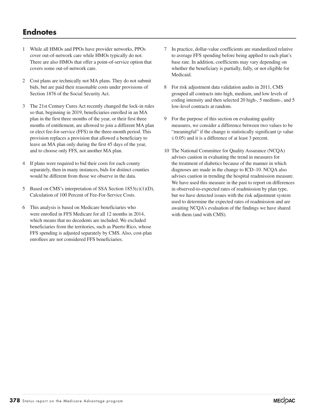#### **Endnotes**

- 1 While all HMOs and PPOs have provider networks, PPOs cover out-of-network care while HMOs typically do not. There are also HMOs that offer a point-of-service option that covers some out-of-network care.
- 2 Cost plans are technically not MA plans. They do not submit bids, but are paid their reasonable costs under provisions of Section 1876 of the Social Security Act.
- 3 The 21st Century Cures Act recently changed the lock-in rules so that, beginning in 2019, beneficiaries enrolled in an MA plan in the first three months of the year, or their first three months of entitlement, are allowed to join a different MA plan or elect fee-for-service (FFS) in the three-month period. This provision replaces a provision that allowed a beneficiary to leave an MA plan only during the first 45 days of the year, and to choose only FFS, not another MA plan.
- 4 If plans were required to bid their costs for each county separately, then in many instances, bids for distinct counties would be different from those we observe in the data.
- 5 Based on CMS's interpretation of SSA Section 1853(c)(1)(D), Calculation of 100 Percent of Fee-For-Service Costs.
- 6 This analysis is based on Medicare beneficiaries who were enrolled in FFS Medicare for all 12 months in 2014, which means that no decedents are included. We excluded beneficiaries from the territories, such as Puerto Rico, whose FFS spending is adjusted separately by CMS. Also, cost-plan enrollees are not considered FFS beneficiaries.
- 7 In practice, dollar-value coefficients are standardized relative to average FFS spending before being applied to each plan's base rate. In addition, coefficients may vary depending on whether the beneficiary is partially, fully, or not eligible for Medicaid.
- 8 For risk adjustment data validation audits in 2011, CMS grouped all contracts into high, medium, and low levels of coding intensity and then selected 20 high-, 5 medium-, and 5 low-level contracts at random.
- 9 For the purpose of this section on evaluating quality measures, we consider a difference between two values to be "meaningful" if the change is statistically significant (*p* value  $\leq$  0.05) and it is a difference of at least 3 percent.
- 10 The National Committee for Quality Assurance (NCQA) advises caution in evaluating the trend in measures for the treatment of diabetics because of the manner in which diagnoses are made in the change to ICD–10. NCQA also advises caution in trending the hospital readmission measure. We have used this measure in the past to report on differences in observed-to-expected rates of readmission by plan type, but we have detected issues with the risk adjustment system used to determine the expected rates of readmission and are awaiting NCQA's evaluation of the findings we have shared with them (and with CMS).